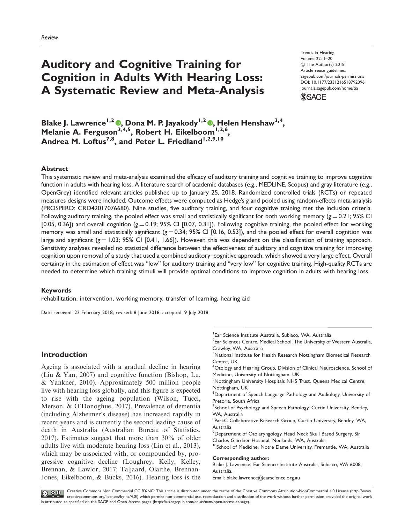# Auditory and Cognitive Training for Cognition in Adults With Hearing Loss: A Systematic Review and Meta-Analysis

Trends in Hearing Volume 22: 1–20 C The Author(s) 2018 Article reuse guidelines: [sagepub.com/journals-permissions](https://uk.sagepub.com/en-gb/journals-permissions) DOI: [10.1177/2331216518792096](https://doi.org/10.1177/2331216518792096) <journals.sagepub.com/home/tia>



Blake J. Lawrence<sup>1[,](http://orcid.org/0000-0001-5814-4355)2</sup> ©, Dona M. P. Jayakody<sup>1,2</sup> ©, Helen Henshaw<sup>3,4</sup>, Melanie A. Ferguson<sup>3,4,5</sup>, Robert H. Eikelboom<sup>1,2,6</sup>, Andrea M. Loftus<sup>7,8</sup>, and Peter L. Friedland<sup>1,2,9,10</sup>

### Abstract

This systematic review and meta-analysis examined the efficacy of auditory training and cognitive training to improve cognitive function in adults with hearing loss. A literature search of academic databases (e.g., MEDLINE, Scopus) and gray literature (e.g., OpenGrey) identified relevant articles published up to January 25, 2018. Randomized controlled trials (RCTs) or repeated measures designs were included. Outcome effects were computed as Hedge's g and pooled using random-effects meta-analysis (PROSPERO: CRD42017076680). Nine studies, five auditory training, and four cognitive training met the inclusion criteria. Following auditory training, the pooled effect was small and statistically significant for both working memory ( $g = 0.21$ ; 95% CI [0.05, 0.36]) and overall cognition  $(g = 0.19; 95\%$  CI [0.07, 0.31]). Following cognitive training, the pooled effect for working memory was small and statistically significant ( $g = 0.34$ ; 95% CI [0.16, 0.53]), and the pooled effect for overall cognition was large and significant ( $g = 1.03$ ; 95% CI [0.41, 1.66]). However, this was dependent on the classification of training approach. Sensitivity analyses revealed no statistical difference between the effectiveness of auditory and cognitive training for improving cognition upon removal of a study that used a combined auditory–cognitive approach, which showed a very large effect. Overall certainty in the estimation of effect was ''low'' for auditory training and ''very low'' for cognitive training. High-quality RCTs are needed to determine which training stimuli will provide optimal conditions to improve cognition in adults with hearing loss.

#### Keywords

rehabilitation, intervention, working memory, transfer of learning, hearing aid

Date received: 22 February 2018; revised: 8 June 2018; accepted: 9 July 2018

# Introduction

Ageing is associated with a gradual decline in hearing (Liu & Yan, 2007) and cognitive function (Bishop, Lu, & Yankner, 2010). Approximately 500 million people live with hearing loss globally, and this figure is expected to rise with the ageing population (Wilson, Tucci, Merson, & O'Donoghue, 2017). Prevalence of dementia (including Alzheimer's disease) has increased rapidly in recent years and is currently the second leading cause of death in Australia (Australian Bureau of Statistics, 2017). Estimates suggest that more than 30% of older adults live with moderate hearing loss (Lin et al., 2013), which may be associated with, or compounded by, progressive cognitive decline (Loughrey, Kelly, Kelley, Brennan, & Lawlor, 2017; Taljaard, Olaithe, Brennan-Jones, Eikelboom, & Bucks, 2016). Hearing loss is the

1 Ear Science Institute Australia, Subiaco, WA, Australia  $^2$ Ear Sciences Centre, Medical School, The University of Western Australia, Crawley, WA, Australia <sup>3</sup>National Institute for Health Research Nottingham Biomedical Research Centre, UK <sup>4</sup>Otology and Hearing Group, Division of Clinical Neuroscience, School of Medicine, University of Nottingham, UK <sup>5</sup>Nottingham University Hospitals NHS Trust, Queens Medical Centre, Nottingham, UK 6 Department of Speech-Language Pathology and Audiology, University of Pretoria, South Africa <sup>7</sup>School of Psychology and Speech Pathology, Curtin University, Bentley, WA, Australia <sup>8</sup>ParkC Collaborative Research Group, Curtin University, Bentley, WA, Australia 9 Department of Otolaryngology Head Neck Skull Based Surgery, Sir Charles Gairdner Hospital, Nedlands, WA, Australia <sup>10</sup>School of Medicine, Notre Dame University, Fremantle, WA, Australia Corresponding author: Blake J. Lawrence, Ear Science Institute Australia, Subiaco, WA 6008,

Australia. Email: blake.lawrence@earscience.org.au

Creative Commons Non Commercial CC BY-NC: This article is distributed under the terms of the Creative Commons Attribution-NonCommercial 4.0 License [\(http://www.](http://orcid.org/0000-0002-8772-8226)<br>[creativecommons.org/licenses/by-nc/4.0/\)](http://orcid.org/0000-0002-8772-8226) which permits non-co is attributed as specified on the SAGE and Open Access pages [\(https://us.sagepub.com/en-us/nam/open-access-at-sage\)](http://orcid.org/0000-0001-5814-4355).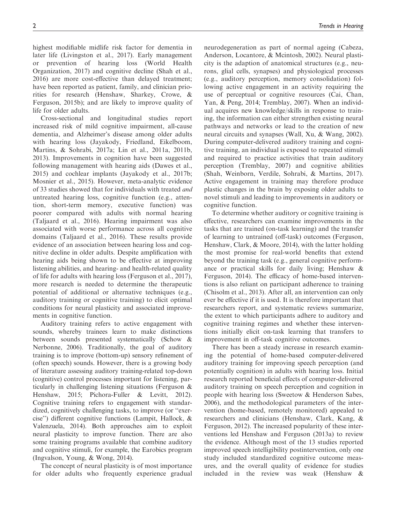highest modifiable midlife risk factor for dementia in later life (Livingston et al., 2017). Early management or prevention of hearing loss (World Health Organization, 2017) and cognitive decline (Shah et al., 2016) are more cost-effective than delayed treatment; have been reported as patient, family, and clinician priorities for research (Henshaw, Sharkey, Crowe, & Ferguson, 2015b); and are likely to improve quality of life for older adults.

Cross-sectional and longitudinal studies report increased risk of mild cognitive impairment, all-cause dementia, and Alzheimer's disease among older adults with hearing loss (Jayakody, Friedland, Eikelboom, Martins, & Sohrabi, 2017a; Lin et al., 2011a, 2011b, 2013). Improvements in cognition have been suggested following management with hearing aids (Dawes et al., 2015) and cochlear implants (Jayakody et al., 2017b; Mosnier et al., 2015). However, meta-analytic evidence of 33 studies showed that for individuals with treated and untreated hearing loss, cognitive function (e.g., attention, short-term memory, executive function) was poorer compared with adults with normal hearing (Taljaard et al., 2016). Hearing impairment was also associated with worse performance across all cognitive domains (Taljaard et al., 2016). These results provide evidence of an association between hearing loss and cognitive decline in older adults. Despite amplification with hearing aids being shown to be effective at improving listening abilities, and hearing- and health-related quality of life for adults with hearing loss (Ferguson et al., 2017), more research is needed to determine the therapeutic potential of additional or alternative techniques (e.g., auditory training or cognitive training) to elicit optimal conditions for neural plasticity and associated improvements in cognitive function.

Auditory training refers to active engagement with sounds, whereby trainees learn to make distinctions between sounds presented systematically (Schow & Nerbonne, 2006). Traditionally, the goal of auditory training is to improve (bottom-up) sensory refinement of (often speech) sounds. However, there is a growing body of literature assessing auditory training-related top-down (cognitive) control processes important for listening, particularly in challenging listening situations (Ferguson & Henshaw, 2015; Pichora-Fuller & Levitt, 2012). Cognitive training refers to engagement with standardized, cognitively challenging tasks, to improve (or ''exercise'') different cognitive functions (Lampit, Hallock, & Valenzuela, 2014). Both approaches aim to exploit neural plasticity to improve function. There are also some training programs available that combine auditory and cognitive stimuli, for example, the Earobics program (Ingvalson, Young, & Wong, 2014).

The concept of neural plasticity is of most importance for older adults who frequently experience gradual neurodegeneration as part of normal ageing (Cabeza, Anderson, Locantore, & Mcintosh, 2002). Neural plasticity is the adaption of anatomical structures (e.g., neurons, glial cells, synapses) and physiological processes (e.g., auditory perception, memory consolidation) following active engagement in an activity requiring the use of perceptual or cognitive resources (Cai, Chan, Yan, & Peng, 2014; Tremblay, 2007). When an individual acquires new knowledge/skills in response to training, the information can either strengthen existing neural pathways and networks or lead to the creation of new neural circuits and synapses (Wall, Xu, & Wang, 2002). During computer-delivered auditory training and cognitive training, an individual is exposed to repeated stimuli and required to practice activities that train auditory perception (Tremblay, 2007) and cognitive abilities (Shah, Weinborn, Verdile, Sohrabi, & Martins, 2017). Active engagement in training may therefore produce plastic changes in the brain by exposing older adults to novel stimuli and leading to improvements in auditory or cognitive function.

To determine whether auditory or cognitive training is effective, researchers can examine improvements in the tasks that are trained (on-task learning) and the transfer of learning to untrained (off-task) outcomes (Ferguson, Henshaw, Clark, & Moore, 2014), with the latter holding the most promise for real-world benefits that extend beyond the training task (e.g., general cognitive performance or practical skills for daily living; Henshaw & Ferguson, 2014). The efficacy of home-based interventions is also reliant on participant adherence to training (Chisolm et al., 2013). After all, an intervention can only ever be effective if it is used. It is therefore important that researchers report, and systematic reviews summarize, the extent to which participants adhere to auditory and cognitive training regimes and whether these interventions initially elicit on-task learning that transfers to improvement in off-task cognitive outcomes.

There has been a steady increase in research examining the potential of home-based computer-delivered auditory training for improving speech perception (and potentially cognition) in adults with hearing loss. Initial research reported beneficial effects of computer-delivered auditory training on speech perception and cognition in people with hearing loss (Sweetow & Henderson Sabes, 2006), and the methodological parameters of the intervention (home-based, remotely monitored) appealed to researchers and clinicians (Henshaw, Clark, Kang, & Ferguson, 2012). The increased popularity of these interventions led Henshaw and Ferguson (2013a) to review the evidence. Although most of the 13 studies reported improved speech intelligibility postintervention, only one study included standardized cognitive outcome measures, and the overall quality of evidence for studies included in the review was weak (Henshaw &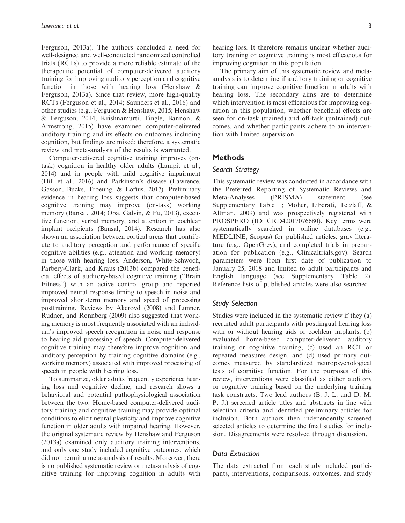Ferguson, 2013a). The authors concluded a need for well-designed and well-conducted randomized controlled trials (RCTs) to provide a more reliable estimate of the therapeutic potential of computer-delivered auditory training for improving auditory perception and cognitive function in those with hearing loss (Henshaw & Ferguson, 2013a). Since that review, more high-quality RCTs (Ferguson et al., 2014; Saunders et al., 2016) and other studies (e.g., Ferguson & Henshaw, 2015; Henshaw & Ferguson, 2014; Krishnamurti, Tingle, Bannon, & Armstrong, 2015) have examined computer-delivered auditory training and its effects on outcomes including cognition, but findings are mixed; therefore, a systematic review and meta-analysis of the results is warranted.

Computer-delivered cognitive training improves (ontask) cognition in healthy older adults (Lampit et al., 2014) and in people with mild cognitive impairment (Hill et al., 2016) and Parkinson's disease (Lawrence, Gasson, Bucks, Troeung, & Loftus, 2017). Preliminary evidence in hearing loss suggests that computer-based cognitive training may improve (on-task) working memory (Bansal, 2014; Oba, Galvin, & Fu, 2013), executive function, verbal memory, and attention in cochlear implant recipients (Bansal, 2014). Research has also shown an association between cortical areas that contribute to auditory perception and performance of specific cognitive abilities (e.g., attention and working memory) in those with hearing loss. Anderson, White-Schwoch, Parbery-Clark, and Kraus (2013b) compared the beneficial effects of auditory-based cognitive training (''Brain Fitness'') with an active control group and reported improved neural response timing to speech in noise and improved short-term memory and speed of processing posttraining. Reviews by Akeroyd (2008) and Lunner, Rudner, and Ronnberg (2009) also suggested that working memory is most frequently associated with an individual's improved speech recognition in noise and response to hearing aid processing of speech. Computer-delivered cognitive training may therefore improve cognition and auditory perception by training cognitive domains (e.g., working memory) associated with improved processing of speech in people with hearing loss.

To summarize, older adults frequently experience hearing loss and cognitive decline, and research shows a behavioral and potential pathophysiological association between the two. Home-based computer-delivered auditory training and cognitive training may provide optimal conditions to elicit neural plasticity and improve cognitive function in older adults with impaired hearing. However, the original systematic review by Henshaw and Ferguson (2013a) examined only auditory training interventions, and only one study included cognitive outcomes, which did not permit a meta-analysis of results. Moreover, there is no published systematic review or meta-analysis of cognitive training for improving cognition in adults with

hearing loss. It therefore remains unclear whether auditory training or cognitive training is most efficacious for improving cognition in this population.

The primary aim of this systematic review and metaanalysis is to determine if auditory training or cognitive training can improve cognitive function in adults with hearing loss. The secondary aims are to determine which intervention is most efficacious for improving cognition in this population, whether beneficial effects are seen for on-task (trained) and off-task (untrained) outcomes, and whether participants adhere to an intervention with limited supervision.

# **Methods**

### Search Strategy

This systematic review was conducted in accordance with the Preferred Reporting of Systematic Reviews and Meta-Analyses (PRISMA) statement (see Supplementary Table 1; Moher, Liberati, Tetzlaff, & Altman, 2009) and was prospectively registered with PROSPERO (ID: CRD42017076680). Key terms were systematically searched in online databases (e.g., MEDLINE, Scopus) for published articles, gray literature (e.g., OpenGrey), and completed trials in preparation for publication (e.g., Clinicaltrials.gov). Search parameters were from first date of publication to January 25, 2018 and limited to adult participants and English language (see Supplementary Table 2). Reference lists of published articles were also searched.

### Study Selection

Studies were included in the systematic review if they (a) recruited adult participants with postlingual hearing loss with or without hearing aids or cochlear implants, (b) evaluated home-based computer-delivered auditory training or cognitive training, (c) used an RCT or repeated measures design, and (d) used primary outcomes measured by standardized neuropsychological tests of cognitive function. For the purposes of this review, interventions were classified as either auditory or cognitive training based on the underlying training task constructs. Two lead authors (B. J. L. and D. M. P. J.) screened article titles and abstracts in line with selection criteria and identified preliminary articles for inclusion. Both authors then independently screened selected articles to determine the final studies for inclusion. Disagreements were resolved through discussion.

# Data Extraction

The data extracted from each study included participants, interventions, comparisons, outcomes, and study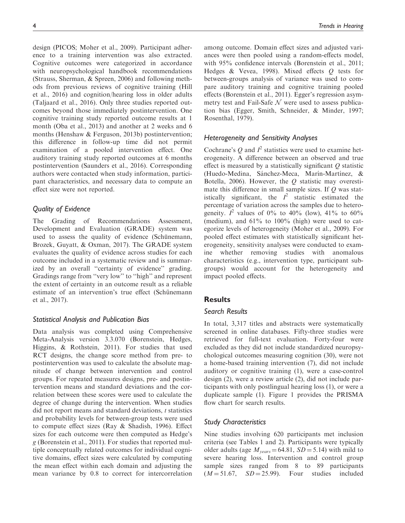ence to a training intervention was also extracted. Cognitive outcomes were categorized in accordance with neuropsychological handbook recommendations (Strauss, Sherman, & Spreen, 2006) and following methods from previous reviews of cognitive training (Hill et al., 2016) and cognition/hearing loss in older adults (Taljaard et al., 2016). Only three studies reported outcomes beyond those immediately postintervention. One cognitive training study reported outcome results at 1 month (Oba et al., 2013) and another at 2 weeks and 6 months (Henshaw & Ferguson, 2013b) postintervention; this difference in follow-up time did not permit examination of a pooled intervention effect. One auditory training study reported outcomes at 6 months postintervention (Saunders et al., 2016). Corresponding authors were contacted when study information, participant characteristics, and necessary data to compute an effect size were not reported.

# Quality of Evidence

The Grading of Recommendations Assessment, Development and Evaluation (GRADE) system was used to assess the quality of evidence (Schünemann, Brozek, Guyatt, & Oxman, 2017). The GRADE system evaluates the quality of evidence across studies for each outcome included in a systematic review and is summarized by an overall "certainty of evidence" grading. Gradings range from ''very low'' to ''high'' and represent the extent of certainty in an outcome result as a reliable estimate of an intervention's true effect (Schünemann et al., 2017).

# Statistical Analysis and Publication Bias

Data analysis was completed using Comprehensive Meta-Analysis version 3.3.070 (Borenstein, Hedges, Higgins, & Rothstein, 2011). For studies that used RCT designs, the change score method from pre- to postintervention was used to calculate the absolute magnitude of change between intervention and control groups. For repeated measures designs, pre- and postintervention means and standard deviations and the correlation between these scores were used to calculate the degree of change during the intervention. When studies did not report means and standard deviations, t statistics and probability levels for between-group tests were used to compute effect sizes (Ray & Shadish, 1996). Effect sizes for each outcome were then computed as Hedge's g (Borenstein et al., 2011). For studies that reported multiple conceptually related outcomes for individual cognitive domains, effect sizes were calculated by computing the mean effect within each domain and adjusting the mean variance by 0.8 to correct for intercorrelation among outcome. Domain effect sizes and adjusted variances were then pooled using a random-effects model, with 95% confidence intervals (Borenstein et al., 2011; Hedges & Vevea, 1998). Mixed effects Q tests for between-groups analysis of variance was used to compare auditory training and cognitive training pooled effects (Borenstein et al., 2011). Egger's regression asymmetry test and Fail-Safe  $\mathcal N$  were used to assess publication bias (Egger, Smith, Schneider, & Minder, 1997; Rosenthal, 1979).

# Heterogeneity and Sensitivity Analyses

Cochrane's Q and  $I^2$  statistics were used to examine heterogeneity. A difference between an observed and true effect is measured by a statistically significant  $Q$  statistic (Huedo-Medina, Sánchez-Meca, Marín-Martínez, & Botella, 2006). However, the  $Q$  statistic may overestimate this difference in small sample sizes. If Q was statistically significant, the  $I^2$  statistic estimated the percentage of variation across the samples due to heterogeneity.  $I^2$  values of 0% to 40% (low), 41% to 60% (medium), and 61% to 100% (high) were used to categorize levels of heterogeneity (Moher et al., 2009). For pooled effect estimates with statistically significant heterogeneity, sensitivity analyses were conducted to examine whether removing studies with anomalous characteristics (e.g., intervention type, participant subgroups) would account for the heterogeneity and impact pooled effects.

# **Results**

# Search Results

In total, 3,317 titles and abstracts were systematically screened in online databases. Fifty-three studies were retrieved for full-text evaluation. Forty-four were excluded as they did not include standardized neuropsychological outcomes measuring cognition (30), were not a home-based training intervention (7), did not include auditory or cognitive training (1), were a case-control design (2), were a review article (2), did not include participants with only postlingual hearing loss (1), or were a duplicate sample (1). Figure 1 provides the PRISMA flow chart for search results.

# Study Characteristics

Nine studies involving 620 participants met inclusion criteria (see Tables 1 and 2). Participants were typically older adults (age  $M_{\text{years}} = 64.81, SD = 5.14$ ) with mild to severe hearing loss. Intervention and control group sample sizes ranged from 8 to 89 participants  $(M = 51.67, SD = 25.99)$ . Four studies included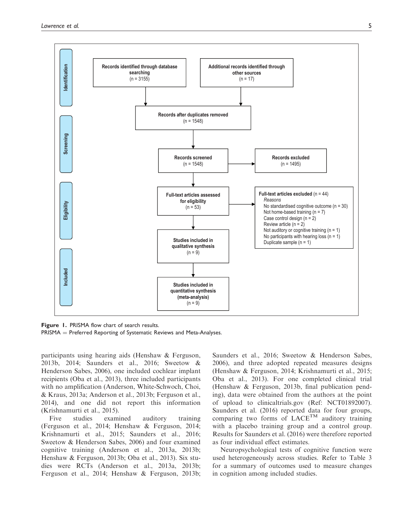

Figure 1. PRISMA flow chart of search results.  $PRISMA = Preferred$  Reporting of Systematic Reviews and Meta-Analyses.

participants using hearing aids (Henshaw & Ferguson, 2013b, 2014; Saunders et al., 2016; Sweetow & Henderson Sabes, 2006), one included cochlear implant recipients (Oba et al., 2013), three included participants with no amplification (Anderson, White-Schwoch, Choi, & Kraus, 2013a; Anderson et al., 2013b; Ferguson et al., 2014), and one did not report this information (Krishnamurti et al., 2015).

Five studies examined auditory training (Ferguson et al., 2014; Henshaw & Ferguson, 2014; Krishnamurti et al., 2015; Saunders et al., 2016; Sweetow & Henderson Sabes, 2006) and four examined cognitive training (Anderson et al., 2013a, 2013b; Henshaw & Ferguson, 2013b; Oba et al., 2013). Six studies were RCTs (Anderson et al., 2013a, 2013b; Ferguson et al., 2014; Henshaw & Ferguson, 2013b; Saunders et al., 2016; Sweetow & Henderson Sabes, 2006), and three adopted repeated measures designs (Henshaw & Ferguson, 2014; Krishnamurti et al., 2015; Oba et al., 2013). For one completed clinical trial (Henshaw & Ferguson, 2013b, final publication pending), data were obtained from the authors at the point of upload to clinicaltrials.gov (Ref: NCT01892007). Saunders et al. (2016) reported data for four groups, comparing two forms of  $LACE^{TM}$  auditory training with a placebo training group and a control group. Results for Saunders et al. (2016) were therefore reported as four individual effect estimates.

Neuropsychological tests of cognitive function were used heterogeneously across studies. Refer to Table 3 for a summary of outcomes used to measure changes in cognition among included studies.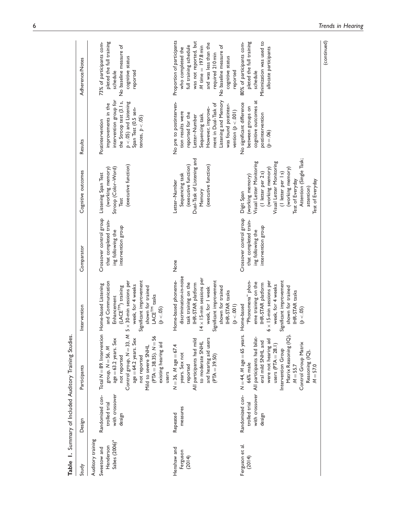|                                                                            |                                                              | Table 1. Summary of Included Auditory Training Studies.                                                                                                                                                                                                                             |                                                                                                                                                                                                                                             |                                                                                             |                                                                                                                                                                                                                                                           |                                                                                                                                                                                                                            |                                                                                                                                                                                                                                     |
|----------------------------------------------------------------------------|--------------------------------------------------------------|-------------------------------------------------------------------------------------------------------------------------------------------------------------------------------------------------------------------------------------------------------------------------------------|---------------------------------------------------------------------------------------------------------------------------------------------------------------------------------------------------------------------------------------------|---------------------------------------------------------------------------------------------|-----------------------------------------------------------------------------------------------------------------------------------------------------------------------------------------------------------------------------------------------------------|----------------------------------------------------------------------------------------------------------------------------------------------------------------------------------------------------------------------------|-------------------------------------------------------------------------------------------------------------------------------------------------------------------------------------------------------------------------------------|
| Study                                                                      | Design                                                       | Participants                                                                                                                                                                                                                                                                        | Intervention                                                                                                                                                                                                                                | Comparator                                                                                  | Cognitive outcomes                                                                                                                                                                                                                                        | Results                                                                                                                                                                                                                    | Adherence/Notes                                                                                                                                                                                                                     |
| Auditory training<br>Sabes (2006) <sup>a</sup><br>Henderson<br>Sweetow and | with crossover<br>Randomized con-<br>trolled trial<br>design | Total $N = 89$ . Intervention<br>Control group, $N = 33$ , $M$<br>$(PTA = 38.35)$ . $N = 56$<br>$age = 63.2$ years. Sex<br>age = 64.2 years. Sex<br>existing hearing aid<br>Mild to severe SNHL<br>group, $N = 56$ , M<br>not reported<br>not reported<br>users                     | Significant improvement<br>$5 \times 30$ -min sessions per<br>and Communication<br>Home-based Listening<br>week, for 4 weeks<br>(LACE <sup>TM</sup> ) training<br>shown for trained<br>LACE <sup>TM</sup> tasks<br>Enhancement<br>(p < .05) | Crossover control group<br>that completed train-<br>intervention group<br>ing following the | (executive function)<br>Stroop (Color-Word)<br>(working memory)<br>Listening Span Test<br>Test                                                                                                                                                            | intervention group for<br>the Stroop test (3.1 s,<br>$p < 05$ ) and Listening<br>improvements in the<br>Span Test (0.5 sen-<br>tences, $p < 0.05$ )<br>Postintervention                                                    | pleted the full training<br>73% of participants com-<br>No baseline measure of<br>cognitive status<br>schedule<br>reported                                                                                                          |
| Henshaw and<br>Ferguson<br>(2014)                                          | measures<br>Repeated                                         | and hearing aid users<br>All participants had mild<br>to moderate SNHL<br>$N = 36$ , M age = 67.4<br>years. Sex not<br>$(PTA = 39.50)$<br>reported                                                                                                                                  | discrimination-in-noise<br>$14 \times 15$ -min sessions per<br>Home-based phoneme-<br>Significant improvement<br>task training on the<br>IHR-STAR platform<br>week, for I week<br>shown for trained<br>IHR-STAR tasks<br>(p < .001)         | None                                                                                        | Dual-Task of Listening and<br>(executive function)<br>(executive function)<br>Sequencing task<br>Letter-Number<br>Memory                                                                                                                                  | Listening and Memory<br>No pre to postinterven-<br>ment in Dual-Task of<br>was found postinter-<br>However, improve-<br>vention $(p < .001)$<br>tion results were<br>reported for the<br>Sequencing task.<br>Letter-Number | Proportion of participants<br>was not reported, but<br>and was less than the<br>full training schedule<br>No baseline measure of<br>$M$ time $=$ 197.8 min<br>who completed the<br>required 210 min<br>cognitive status<br>reported |
| Ferguson et al.<br>(2014)                                                  | Randomized con-<br>trolled trial<br>design                   | $N = 44$ , M age = 65 years.<br>Matrix Reasoning (IQ),<br>with crossover All participants had bilat-<br>were not hearing aid<br>eral mild SNHL and<br>Control Group Matrix<br>users $(PTA = 28.1)$<br>Intervention Group<br>Reasoning (IQ),<br>66% male<br>$M = 55.7$<br>$M = 57.0$ | "Phonomena" phon-<br>Significant improvement<br>$6 \times 15$ -min sessions per<br>eme training on the<br>IHR-STAR platform<br>week, for 4 weeks<br>shown for trained<br><b>IHR-STAR</b> tasks<br>Home-based<br>$(\phi < .05)$              | Crossover control group<br>that completed train-<br>intervention group<br>ing following the | Attention (Single Task;<br>Visual Letter Monitoring<br>Visual Letter Monitoring<br>(working memory)<br>(working memory)<br>(I letter per 2s)<br>(I letter per Is)<br>(working memory)<br>Test of Everyday<br>Test of Everyday<br>attention)<br>Digit Span | cognitive outcomes at<br>No significant difference<br>between groups on<br>postintervention<br>$(90 - 4)$                                                                                                                  | Minimization was used to<br>pleted the full training<br>80% of participants com-<br>allocate participants<br>schedule                                                                                                               |
|                                                                            |                                                              |                                                                                                                                                                                                                                                                                     |                                                                                                                                                                                                                                             |                                                                                             |                                                                                                                                                                                                                                                           |                                                                                                                                                                                                                            | (continued)                                                                                                                                                                                                                         |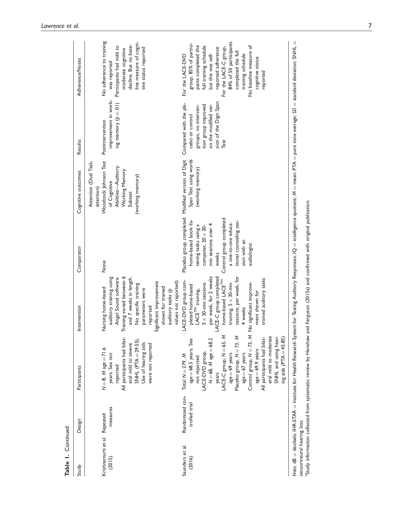| Study                                  | Table 1. Continued               |                                                                                                                                                                                                                                                                                                                                                                                         |                                                                                                                                                                                                                                                                                                                                          |                                                                                                                                                                                                                       |                                                                                                                                                     |                                                                                                                                                    |                                                                                                                                                                                                                                                                                                 |
|----------------------------------------|----------------------------------|-----------------------------------------------------------------------------------------------------------------------------------------------------------------------------------------------------------------------------------------------------------------------------------------------------------------------------------------------------------------------------------------|------------------------------------------------------------------------------------------------------------------------------------------------------------------------------------------------------------------------------------------------------------------------------------------------------------------------------------------|-----------------------------------------------------------------------------------------------------------------------------------------------------------------------------------------------------------------------|-----------------------------------------------------------------------------------------------------------------------------------------------------|----------------------------------------------------------------------------------------------------------------------------------------------------|-------------------------------------------------------------------------------------------------------------------------------------------------------------------------------------------------------------------------------------------------------------------------------------------------|
|                                        | Design                           | Participants                                                                                                                                                                                                                                                                                                                                                                            | Intervention                                                                                                                                                                                                                                                                                                                             | Comparator                                                                                                                                                                                                            | Cognitive outcomes                                                                                                                                  | Results                                                                                                                                            | Adherence/Notes                                                                                                                                                                                                                                                                                 |
| Krishnamurti et al. Repeated<br>(2015) | measures                         | All participants had bilat-<br>SNHL (PTA $=$ 29.55)<br>eral mild to severe<br>Use of hearing aids<br>were not reported<br>$N = 8$ , $M$ age = 71.6<br>years. Sex not<br>reported                                                                                                                                                                                                        | Training varied between 6<br>and 7 weeks in length.<br>auditory training using<br>Angel Sound software<br>Significant improvement<br>values not reported)<br>No specific training<br>shown for trained<br>Nursing home-based<br>parameters were<br>auditory tasks (p<br>reported                                                         | None                                                                                                                                                                                                                  | Woodcock Johnson Test<br>Attention (Dual Task;<br>Abilities-Auditory<br>Working Memory<br>(working memory)<br>of Cognitive<br>attention)<br>Subtest | improvement in work-<br>ing memory $(p=01)$<br>Postintervention                                                                                    | No adherence to training<br>line measure of cogni-<br>decline. But no base-<br>Participants had mild to<br>tive status reported<br>moderate cognitive<br>was reported                                                                                                                           |
| Saunders et al.<br>(2016)              | Randomized con-<br>trolled trial | LACE-C group, $N = 65$ , M<br>Placebo group, N = 73, M<br>Control group, $N = 73$ , M<br>All participants had bilat-<br>eral mild to moderate<br>SNHL and using hear-<br>ing aids $(PTA = 45.85)$<br>$N = 68, M$ age $= 68.2$<br>age = 68.5 years. Sex<br>$age = 69.9$ years<br>LACE-DVD group,<br>$age = 67$ years<br>$age = 69$ years<br>Total $N = 279$ , M<br>not reported<br>years | per week, for 2 weeks<br>sessions, per week, for<br>LACE-C group completed<br>trained auditory tasks<br>home-based LACE <sup>TM</sup><br>LACE-DVD group com-<br>No significant improve-<br>$5 \times 30$ -min sessions<br>training, $5 \times 30$ -min<br>pleted home-based<br>LACE <sup>TM</sup> training,<br>ment shown for<br>4 weeks | Control group completed<br>home-based book lis-<br>tional counseling ses-<br>a one-to-one educa-<br>min sessions over 4<br>tening tasks using a<br>computer, $20 \times 30$ -<br>sion with an<br>audiologist<br>weeks | Placebo group completed Modified version of Digit<br>Span Test using words<br>(working memory)                                                      | sion of the Digit Span<br>Compared with the pla-<br>tion group improved<br>on the modified ver-<br>groups, no interven-<br>cebo or control<br>Test | 84% of 50 participants<br>group, 85% of partici-<br>pants completed the<br>full training schedule<br>No baseline measure of<br>For the LACE-C group,<br>reported adherence<br>completed the full<br>but this was self-<br>training schedule<br>For the LACE-DVD<br>cognitive status<br>reported |

sensorineural hearing loss.<br><sup>a</sup>Study information collected from systematic review by Henshaw and Ferguson (2013a) and confirmed with original publication. sensorineural hearing loss.

aStudy information collected from systematic review by Henshaw and Ferguson (2013a) and confirmed with original publication.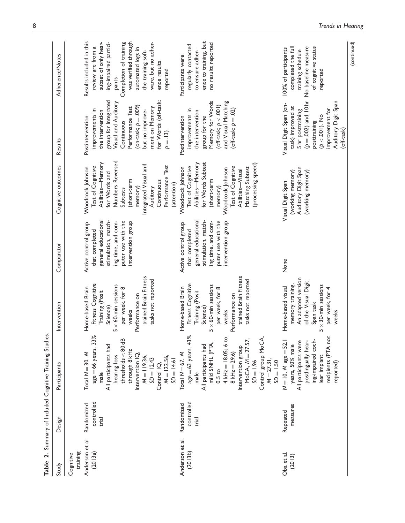| Study                                               | Design                            | Participants                                                                                                                                                                                                                                                                 | Intervention                                                                                                                                                                                     | Comparator                                                                                                                                             | Cognitive outcomes                                                                                                                                                                                                           | Results                                                                                                                                                                                                                                      | Adherence/Notes                                                                                                                                                                                                                                         |
|-----------------------------------------------------|-----------------------------------|------------------------------------------------------------------------------------------------------------------------------------------------------------------------------------------------------------------------------------------------------------------------------|--------------------------------------------------------------------------------------------------------------------------------------------------------------------------------------------------|--------------------------------------------------------------------------------------------------------------------------------------------------------|------------------------------------------------------------------------------------------------------------------------------------------------------------------------------------------------------------------------------|----------------------------------------------------------------------------------------------------------------------------------------------------------------------------------------------------------------------------------------------|---------------------------------------------------------------------------------------------------------------------------------------------------------------------------------------------------------------------------------------------------------|
| Anderson et al.<br>training<br>(2013a)<br>Cognitive | controlled<br>Randomized<br>trial | $age = 66$ years, $33%$<br>threshold < 80dB<br>All participants had<br>through 8 kHz<br>Total $N = 30$ . M<br>Intervention IQ,<br>hearing loss<br>$M = 119.36$ ,<br>$M = 122.56$ ,<br>$SD = 12.43$<br>$SD = 14.61$<br>Control IQ,<br>male                                    | trained Brain Fitness<br>tasks not reported<br>Fitness Cognitive<br>$5 \times 60$ -min sessions<br>Home-based Brain<br>per week, for 8<br>Training (Posit<br>Performance on<br>Science)<br>weeks | general educational<br>stimulation, match-<br>ing time, and com-<br>puter use with the<br>intervention group<br>Active control group<br>that completed | Numbers Reversed<br>Abilities-Memory<br>Integrated Visual and<br>Test<br>Test of Cognitive<br>Woodcock Johnson<br>for Words and<br>Performance<br>short-term<br>Continuous<br>(attention)<br>memory)<br>Auditory<br>Subtests | group for Integrated<br>for Words (off-task;<br>Visual and Auditory<br>(on-task; $p = .009$ )<br>Performance Test<br>ment on Memory<br>improvements in<br>but no improve-<br>the intervention<br>Postintervention<br>Continuous<br>$p = .13$ | Results included in this<br>ing-impaired partici-<br>ware, but no adher-<br>subset of only hear-<br>was verified through<br>Completion of training<br>review are from a<br>automated logs in<br>the training soft-<br>ence results<br>reported<br>pants |
| Anderson et al.<br>(2013b)                          | controlled<br>Randomized<br>trial | $age = 63$ years, $43\%$<br>$4$ kHz = $18.05$ ; 6 to<br>Control group MoCA,<br>MoCA, $M = 27.57$ ,<br>mild SNHL (PTA,<br>All participants had<br>Intervention group<br>Total $N = 67$ . M<br>$8kHz = 29.6$<br>$M = 27.31,$<br>$3D = 1.96$<br>$SD = 1.50$<br>$0.5$ to<br>male | trained Brain Fitness<br>tasks not reported<br>Fitness Cognitive<br>$5 \times 60$ -min sessions<br>Home-based Brain<br>per week, for 8<br>Training (Posit<br>Performance on<br>Science)<br>weeks | general educational<br>stimulation, match-<br>ing time, and com-<br>puter use with the<br>intervention group<br>Active control group<br>that completed | for Words Subtest<br>Abilities-Memory<br>(processing speed)<br>Test of Cognitive<br>Woodcock Johnson<br>Test of Cognitive<br>Matching Subtest<br>Woodcock Johnson<br>Abilities-Visual<br>(short-term<br>memory)              | Memory for Words<br>and Visual Matching<br>$($ off-task; $p < .001$ )<br>improvements in<br>(off-task; $p = .02$ )<br>the intervention<br>Postintervention<br>group for the                                                                  | ence to training, but<br>no results reported<br>regularly contacted<br>to ensure adher-<br>Participants were                                                                                                                                            |
| Oba et al.<br>(2013)                                | measures<br>Repeated              | recipients (PTA not<br>ing-impaired coch-<br>$N = 10$ , M age = 52.1<br>All participants were<br>postlingually hear-<br>years, 50% male<br>lear implant<br>reported)                                                                                                         | An adapted version<br>of the Visual Digit<br>memory training.<br>$5 \times 30$ -min sessions<br>Home-based visual<br>per week, for 4<br>Span task<br>weeks                                       | None                                                                                                                                                   | Auditory Digit Span<br>(working memory)<br>(working memory)<br>Visual Digit Span                                                                                                                                             | $(p = .002)$ and 10 hr<br>Auditory Digit Span<br>Visual Digit Span (on-<br>task) improved at<br>improvement for<br>5 hr posttraining<br>$\frac{\text{posttraining}}{\left(\beta < .001\right)}$ . No<br>(off-task)                           | No baseline measure<br>of cognitive status<br>completed the full<br>100% of participants<br>training schedule<br>reported                                                                                                                               |

Table 2. Summary of Included Cognitive Training Studies. Table 2. Summary of Included Cognitive Training Studies.

(continued)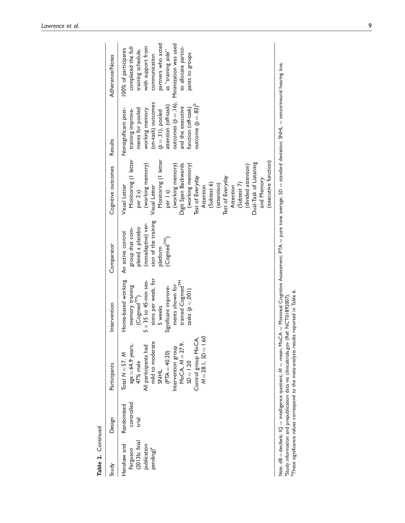| Table 2. Continued                                                                |                                   |                                                                                                                                                                                                                                                |                                                                                                                                                                                                                                            |                                                                                                                                               |                                                                                                                                                                                                                                                                                                                                                                                                |                                                                                                                                                                                                                                                |                                                                                                                                                                                                                        |
|-----------------------------------------------------------------------------------|-----------------------------------|------------------------------------------------------------------------------------------------------------------------------------------------------------------------------------------------------------------------------------------------|--------------------------------------------------------------------------------------------------------------------------------------------------------------------------------------------------------------------------------------------|-----------------------------------------------------------------------------------------------------------------------------------------------|------------------------------------------------------------------------------------------------------------------------------------------------------------------------------------------------------------------------------------------------------------------------------------------------------------------------------------------------------------------------------------------------|------------------------------------------------------------------------------------------------------------------------------------------------------------------------------------------------------------------------------------------------|------------------------------------------------------------------------------------------------------------------------------------------------------------------------------------------------------------------------|
| Study                                                                             | Design                            | Participants                                                                                                                                                                                                                                   | Intervention                                                                                                                                                                                                                               | Comparator                                                                                                                                    | Cognitive outcomes                                                                                                                                                                                                                                                                                                                                                                             | Results                                                                                                                                                                                                                                        | Adherence/Notes                                                                                                                                                                                                        |
| (2013b; final)<br>publication<br>Henshaw and<br>pending) <sup>a</sup><br>Ferguson | controlled<br>Randomized<br>trial | $M = 28.1, SD = 1.60$<br>Control group MoCA,<br>$MoCA, M = 27.9,$<br>mild to moderate<br>$age = 64.9$ years,<br>All participants had<br>Intervention group<br>$(PTA = 40.20)$<br>Total $N = 57$ . M<br>$SD = 1.20$<br>47% male<br><b>THINS</b> | sions per week, for<br>Home-based working<br>$5 \times 35$ to $45$ -min ses-<br>trained Cogmed <sup>TM</sup><br>ments shown for<br>memory training<br>(Cogmed <sup>TM</sup> )<br>Significant improve-<br>$\text{rals}(p < 001)$<br>5 weeks | sion of the training<br>(nonadaptive) ver-<br>pleted a placebo<br>group that com-<br>An active control<br>(Cogmed <sup>TM</sup> )<br>platform | Monitoring (I letter<br>Monitoring (I letter<br>(executive function)<br>Dual-Task of Listening<br>(working memory)<br>(working memory)<br>Digit Span Backwards<br>(working memory)<br>(divided attention)<br>Test of Everyday<br>Test of Everyday<br>and Memory<br>(Subtest 7)<br>(Subtest 6)<br>(attention)<br>Visual Letter<br>Visual Letter<br>Attention<br>per 1s)<br>Attention<br>per 2s) | (on-task) outcomes<br>outcomes $(p=.16)$ ,<br>outcome $(p=.83)^b$<br>attention (off-task)<br>and the executive<br>function (off-task)<br>ments for pooled<br>Nonsignificant post-<br>working memory<br>training improve-<br>$(p=.31)$ , pooled | partners who acted<br>Minimization was used<br>with support from<br>completed the full<br>to allocate partici-<br>100% of participants<br>training schedule,<br>as "training aide"<br>communication<br>pants to groups |
|                                                                                   |                                   | Note. $dB =$ decibels; $IQ =$ intelligence quotient; $M =$ mean; $MCA =$ Montreal Cognitive Assessment; $PTA =$ pure tone average; $SD =$ standard deviation; SNHL = sensorineural hearing loss.                                               |                                                                                                                                                                                                                                            |                                                                                                                                               |                                                                                                                                                                                                                                                                                                                                                                                                |                                                                                                                                                                                                                                                |                                                                                                                                                                                                                        |

Note. dB = decibels;  $Q =$  intelligence quotient;  $M =$  mean; M $\sigma$ CA  $=$  Montreal Cognitive Assessment; PTA  $=$  pure tone average; SD  $=$  standard deviation; SNHL  $=$  sensorineural hearing loss. Note.  $dB =$  decibels;  $IQ =$  intelligence quotient;  $M =$  mean;  $MoCA =$  Montreal Cognitiv<br><sup>3</sup>Study information and prepublication data via clinicaltrials.gov (Ref: NCT01892007).<br><sup>b</sup>These significance values correspond to the me <sup>5</sup>These significance values correspond to the meta-analysis results reported in Table 6. aStudy information and prepublication data via clinicaltrials.gov (Ref: NCT01892007).

9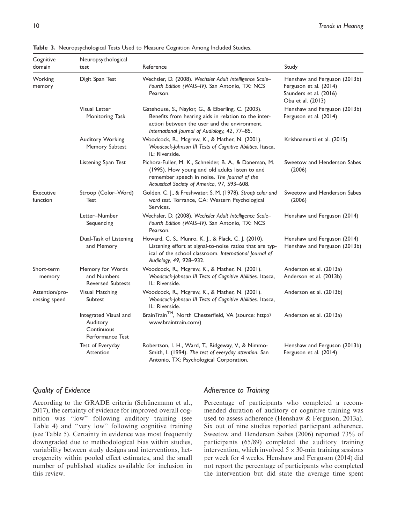| Cognitive<br>domain             | Neuropsychological<br>test                                          | Reference                                                                                                                                                                                                    | Study                                                                                                 |
|---------------------------------|---------------------------------------------------------------------|--------------------------------------------------------------------------------------------------------------------------------------------------------------------------------------------------------------|-------------------------------------------------------------------------------------------------------|
| Working<br>memory               | Digit Span Test                                                     | Wechsler, D. (2008). Wechsler Adult Intelligence Scale-<br>Fourth Edition (WAIS-IV). San Antonio, TX: NCS<br>Pearson.                                                                                        | Henshaw and Ferguson (2013b)<br>Ferguson et al. (2014)<br>Saunders et al. (2016)<br>Oba et al. (2013) |
|                                 | <b>Visual Letter</b><br>Monitoring Task                             | Gatehouse, S., Naylor, G., & Elberling, C. (2003).<br>Benefits from hearing aids in relation to the inter-<br>action between the user and the environment.<br>International Journal of Audiology, 42, 77-85. | Henshaw and Ferguson (2013b)<br>Ferguson et al. (2014)                                                |
|                                 | Auditory Working<br>Memory Subtest                                  | Woodcock, R., Mcgrew, K., & Mather, N. (2001).<br>Woodcock-Johnson III Tests of Cognitive Abilities. Itasca,<br>IL: Riverside.                                                                               | Krishnamurti et al. (2015)                                                                            |
|                                 | Listening Span Test                                                 | Pichora-Fuller, M. K., Schneider, B. A., & Daneman, M.<br>(1995). How young and old adults listen to and<br>remember speech in noise. The Journal of the<br>Acoustical Society of America, 97, 593-608.      | Sweetow and Henderson Sabes<br>(2006)                                                                 |
| <b>Executive</b><br>function    | Stroop (Color-Word)<br>Test                                         | Golden, C. J., & Freshwater, S. M. (1978). Stroop color and<br>word test. Torrance, CA: Western Psychological<br>Services.                                                                                   | Sweetow and Henderson Sabes<br>(2006)                                                                 |
|                                 | Letter-Number<br>Sequencing                                         | Wechsler, D. (2008). Wechsler Adult Intelligence Scale-<br>Fourth Edition (WAIS-IV). San Antonio, TX: NCS<br>Pearson.                                                                                        | Henshaw and Ferguson (2014)                                                                           |
|                                 | Dual-Task of Listening<br>and Memory                                | Howard, C. S., Munro, K. J., & Plack, C. J. (2010).<br>Listening effort at signal-to-noise ratios that are typ-<br>ical of the school classroom. International Journal of<br>Audiology, 49, 928-932.         | Henshaw and Ferguson (2014)<br>Henshaw and Ferguson (2013b)                                           |
| Short-term<br>memory            | Memory for Words<br>and Numbers<br><b>Reversed Subtests</b>         | Woodcock, R., Mcgrew, K., & Mather, N. (2001).<br>Woodcock-Johnson III Tests of Cognitive Abilities. Itasca,<br>IL: Riverside.                                                                               | Anderson et al. (2013a)<br>Anderson et al. (2013b)                                                    |
| Attention/pro-<br>cessing speed | <b>Visual Matching</b><br>Subtest                                   | Woodcock, R., Mcgrew, K., & Mather, N. (2001).<br>Woodcock-Johnson III Tests of Cognitive Abilities. Itasca,<br>IL: Riverside.                                                                               | Anderson et al. (2013b)                                                                               |
|                                 | Integrated Visual and<br>Auditory<br>Continuous<br>Performance Test | BrainTrain™, North Chesterfield, VA (source: http://<br>www.braintrain.com/)                                                                                                                                 | Anderson et al. (2013a)                                                                               |
|                                 | Test of Everyday<br>Attention                                       | Robertson, I. H., Ward, T., Ridgeway, V., & Nimmo-<br>Smith, I. (1994). The test of everyday attention. San<br>Antonio, TX: Psychological Corporation.                                                       | Henshaw and Ferguson (2013b)<br>Ferguson et al. (2014)                                                |

Table 3. Neuropsychological Tests Used to Measure Cognition Among Included Studies.

# Quality of Evidence

According to the GRADE criteria (Schünemann et al., 2017), the certainty of evidence for improved overall cognition was ''low'' following auditory training (see Table 4) and ''very low'' following cognitive training (see Table 5). Certainty in evidence was most frequently downgraded due to methodological bias within studies, variability between study designs and interventions, heterogeneity within pooled effect estimates, and the small number of published studies available for inclusion in this review.

# Adherence to Training

Percentage of participants who completed a recommended duration of auditory or cognitive training was used to assess adherence (Henshaw & Ferguson, 2013a). Six out of nine studies reported participant adherence. Sweetow and Henderson Sabes (2006) reported 73% of participants (65/89) completed the auditory training intervention, which involved  $5 \times 30$ -min training sessions per week for 4 weeks. Henshaw and Ferguson (2014) did not report the percentage of participants who completed the intervention but did state the average time spent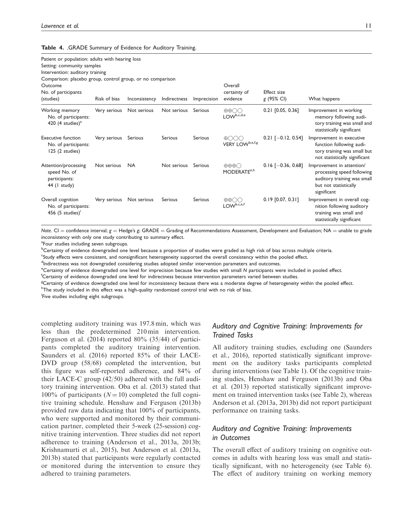Table 4. .GRADE Summary of Evidence for Auditory Training.

| Patient or population: adults with hearing loss<br>Setting: community samples<br>Intervention: auditory training<br>Comparison: placebo group, control group, or no comparison<br>Outcome |              |               |              |             | Overall                                                         |                           |                                                                                                                                |
|-------------------------------------------------------------------------------------------------------------------------------------------------------------------------------------------|--------------|---------------|--------------|-------------|-----------------------------------------------------------------|---------------------------|--------------------------------------------------------------------------------------------------------------------------------|
| No. of participants<br>(studies)                                                                                                                                                          | Risk of bias | Inconsistency | Indirectness | Imprecision | certainty of<br>evidence                                        | Effect size<br>g (95% CI) | What happens                                                                                                                   |
| Working memory<br>No. of participants:<br>420 (4 studies) $a$                                                                                                                             | Very serious | Not serious   | Not serious  | Serious     | $\oplus \oplus \bigcirc \bigcirc$<br>$LOW^{b,c,d,e}$            | $0.21$ [0.05, 0.36]       | Improvement in working<br>memory following audi-<br>tory training was small and<br>statistically significant                   |
| <b>Executive function</b><br>No. of participants:<br>125 (2 studies)                                                                                                                      | Very serious | Serious       | Serious      | Serious     | $\oplus$ $\odot$ $\odot$ $\odot$<br>VERY LOW <sup>b,e,f,g</sup> | $0.21$ [-0.12, 0.54]      | Improvement in executive<br>function following audi-<br>tory training was small but<br>not statistically significant           |
| Attention/processing<br>speed No. of<br>participants:<br>$44$ (1 study)                                                                                                                   | Not serious  | <b>NA</b>     | Not serious  | Serious     | $\oplus \oplus \oplus \bigcirc$<br>MODERATE <sup>e,h</sup>      | $0.16$ [-0.36, 0.68]      | Improvement in attention/<br>processing speed following<br>auditory training was small<br>but not statistically<br>significant |
| Overall cognition<br>No. of participants:<br>456 $(5 \text{ studies})'$                                                                                                                   | Very serious | Not serious   | Serious      | Serious     | $\oplus \oplus \bigcirc \bigcirc$<br>LOW <sup>b,c,e,f</sup>     | $0.19$ [0.07, 0.31]       | Improvement in overall cog-<br>nition following auditory<br>training was small and<br>statistically significant                |

Note. CI = confidence interval;  $g =$  Hedge's g; GRADE = Grading of Recommendations Assessment, Development and Evaluation; NA = unable to grade inconsistency with only one study contributing to summary effect.

<sup>a</sup>Four studies including seven subgroups.

<sup>b</sup>Certainty of evidence downgraded one level because a proportion of studies were graded as high risk of bias across multiple criteria.

c Study effects were consistent, and nonsignificant heterogeneity supported the overall consistency within the pooled effect.

<sup>d</sup>Indirectness was not downgraded considering studies adopted similar intervention parameters and outcomes.

e<br>Certainty of evidence downgraded one level for imprecision because few studies with small N participants were included in pooled effect.<br>Certainty of evidence downgraded one level for indirectness because intervention pa

Certainty of evidence downgraded one level for indirectness because intervention parameters varied between studies.

<sup>g</sup>Certainty of evidence downgraded one level for inconsistency because there was a moderate degree of heterogeneity within the pooled effect. <sup>h</sup>The study included in this effect was a high-quality randomized control trial with no risk of bias.

**Five studies including eight subgroups.** 

completing auditory training was 197.8 min, which was less than the predetermined 210 min intervention. Ferguson et al. (2014) reported 80% (35/44) of participants completed the auditory training intervention. Saunders et al. (2016) reported 85% of their LACE-DVD group (58/68) completed the intervention, but this figure was self-reported adherence, and 84% of their LACE-C group (42/50) adhered with the full auditory training intervention. Oba et al. (2013) stated that 100% of participants ( $N = 10$ ) completed the full cognitive training schedule. Henshaw and Ferguson (2013b) provided raw data indicating that 100% of participants, who were supported and monitored by their communication partner, completed their 5-week (25-session) cognitive training intervention. Three studies did not report adherence to training (Anderson et al., 2013a, 2013b; Krishnamurti et al., 2015), but Anderson et al. (2013a, 2013b) stated that participants were regularly contacted or monitored during the intervention to ensure they adhered to training parameters.

# Auditory and Cognitive Training: Improvements for Trained Tasks

All auditory training studies, excluding one (Saunders et al., 2016), reported statistically significant improvement on the auditory tasks participants completed during interventions (see Table 1). Of the cognitive training studies, Henshaw and Ferguson (2013b) and Oba et al. (2013) reported statistically significant improvement on trained intervention tasks (see Table 2), whereas Anderson et al. (2013a, 2013b) did not report participant performance on training tasks.

# Auditory and Cognitive Training: Improvements in Outcomes

The overall effect of auditory training on cognitive outcomes in adults with hearing loss was small and statistically significant, with no heterogeneity (see Table 6). The effect of auditory training on working memory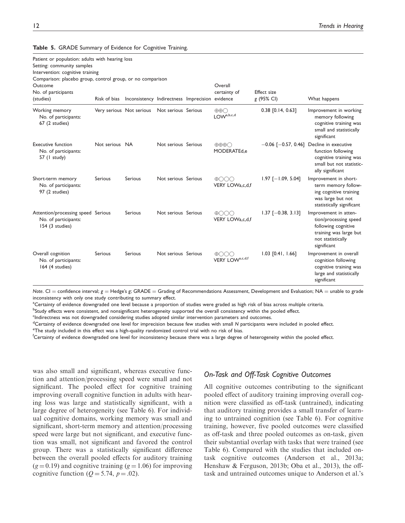| Patient or population: adults with hearing loss<br>Setting: community samples<br>Intervention: cognitive training<br>Comparison: placebo group, control group, or no comparison |                |                                                 |                     |                                                |                                  |                                                                                                                                                |
|---------------------------------------------------------------------------------------------------------------------------------------------------------------------------------|----------------|-------------------------------------------------|---------------------|------------------------------------------------|----------------------------------|------------------------------------------------------------------------------------------------------------------------------------------------|
| Outcome<br>No. of participants<br>(studies)                                                                                                                                     | Risk of bias   | Inconsistency Indirectness Imprecision evidence |                     | Overall<br>certainty of                        | <b>Effect</b> size<br>g (95% CI) | What happens                                                                                                                                   |
| Working memory<br>No. of participants:<br>67 (2 studies)                                                                                                                        |                | Very serious Not serious                        | Not serious Serious | $\oplus \oplus \bigcirc$<br>$LOW^{a,b,c,d}$    | $0.38$ [0.14, 0.63]              | Improvement in working<br>memory following<br>cognitive training was<br>small and statistically<br>significant                                 |
| <b>Executive function</b><br>No. of participants:<br>57 (1 study)                                                                                                               | Not serious NA |                                                 | Not serious Serious | $\oplus \oplus \oplus \bigcirc$<br>MODERATEd.e |                                  | $-0.06$ [ $-0.57$ , 0.46] Decline in executive<br>function following<br>cognitive training was<br>small but not statistic-<br>ally significant |
| Short-term memory<br>No. of participants:<br>97 (2 studies)                                                                                                                     | <b>Serious</b> | Serious                                         | Not serious Serious | $\bigoplus$<br>VERY LOWa,c,d,f                 | $1.97$ [-1.09, 5.04]             | Improvement in short-<br>term memory follow-<br>ing cognitive training<br>was large but not<br>statistically significant                       |
| Attention/processing speed Serious<br>No. of participants:<br>154 (3 studies)                                                                                                   |                | Serious                                         | Not serious Serious | $\bigoplus$<br>VERY LOWa,c,d,f                 | $1.37$ [-0.38, 3.13]             | Improvement in atten-<br>tion/processing speed<br>following cognitive<br>training was large but<br>not statistically<br>significant            |
| Overall cognition<br>No. of participants:<br>164 (4 studies)                                                                                                                    | <b>Serious</b> | Serious                                         | Not serious Serious | $\oplus$ OOO<br>VERY LOW <sup>a,c,d,f</sup>    | $1.03$ [0.41, 1.66]              | Improvement in overall<br>cognition following<br>cognitive training was<br>large and statistically<br>significant                              |

Table 5. GRADE Summary of Evidence for Cognitive Training.

Note. CI = confidence interval;  $g =$  Hedge's g; GRADE = Grading of Recommendations Assessment, Development and Evaluation; NA = unable to grade inconsistency with only one study contributing to summary effect.

<sup>a</sup>Certainty of evidence downgraded one level because a proportion of studies were graded as high risk of bias across multiple criteria.

**bStudy effects were consistent, and nonsignificant heterogeneity supported the overall consistency within the pooled effect.** 

<sup>c</sup>Indirectness was not downgraded considering studies adopted similar intervention parameters and outcomes.

dCertainty of evidence downgraded one level for imprecision because few studies with small N participants were included in pooled effect.<br>EThe study included in this effect was a high quality randomized control trial with

<sup>e</sup>The study included in this effect was a high-quality randomized control trial with no risk of bias.

Certainty of evidence downgraded one level for inconsistency because there was a large degree of heterogeneity within the pooled effect.

was also small and significant, whereas executive function and attention/processing speed were small and not significant. The pooled effect for cognitive training improving overall cognitive function in adults with hearing loss was large and statistically significant, with a large degree of heterogeneity (see Table 6). For individual cognitive domains, working memory was small and significant, short-term memory and attention/processing speed were large but not significant, and executive function was small, not significant and favored the control group. There was a statistically significant difference between the overall pooled effects for auditory training  $(g = 0.19)$  and cognitive training  $(g = 1.06)$  for improving cognitive function ( $Q = 5.74$ ,  $p = .02$ ).

# On-Task and Off-Task Cognitive Outcomes

All cognitive outcomes contributing to the significant pooled effect of auditory training improving overall cognition were classified as off-task (untrained), indicating that auditory training provides a small transfer of learning to untrained cognition (see Table 6). For cognitive training, however, five pooled outcomes were classified as off-task and three pooled outcomes as on-task, given their substantial overlap with tasks that were trained (see Table 6). Compared with the studies that included ontask cognitive outcomes (Anderson et al., 2013a; Henshaw & Ferguson, 2013b; Oba et al., 2013), the offtask and untrained outcomes unique to Anderson et al.'s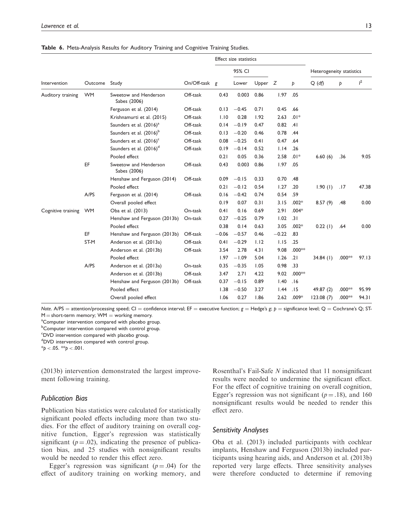|                    |           |                                       |               |         | Effect size statistics |           |         |          |                          |           |       |
|--------------------|-----------|---------------------------------------|---------------|---------|------------------------|-----------|---------|----------|--------------------------|-----------|-------|
|                    |           |                                       |               |         | 95% CI                 |           |         |          | Heterogeneity statistics |           |       |
| Intervention       | Outcome   | Study                                 | On/Off-task g |         | Lower                  | Upper $Z$ |         | Þ        | $Q(d\hat{p})$            | Þ         | $l^2$ |
| Auditory training  | <b>WM</b> | Sweetow and Henderson<br>Sabes (2006) | Off-task      | 0.43    | 0.003                  | 0.86      | 1.97    | .05      |                          |           |       |
|                    |           | Ferguson et al. (2014)                | Off-task      | 0.13    | $-0.45$                | 0.71      | 0.45    | .66      |                          |           |       |
|                    |           | Krishnamurti et al. (2015)            | Off-task      | 1.10    | 0.28                   | 1.92      | 2.63    | $.01*$   |                          |           |       |
|                    |           | Saunders et al. (2016) <sup>a</sup>   | Off-task      | 0.14    | $-0.19$                | 0.47      | 0.82    | .41      |                          |           |       |
|                    |           | Saunders et al. (2016) <sup>b</sup>   | Off-task      | 0.13    | $-0.20$                | 0.46      | 0.78    | .44      |                          |           |       |
|                    |           | Saunders et al. (2016) <sup>c</sup>   | Off-task      | 0.08    | $-0.25$                | 0.41      | 0.47    | .64      |                          |           |       |
|                    |           | Saunders et al. (2016) <sup>d</sup>   | Off-task      | 0.19    | $-0.14$                | 0.52      | 1.14    | .26      |                          |           |       |
|                    |           | Pooled effect                         |               | 0.21    | 0.05                   | 0.36      | 2.58    | $.01*$   | 6.60(6)                  | .36       | 9.05  |
|                    | EF        | Sweetow and Henderson<br>Sabes (2006) | Off-task      | 0.43    | 0.003                  | 0.86      | 1.97    | .05      |                          |           |       |
| Cognitive training |           | Henshaw and Ferguson (2014)           | Off-task      | 0.09    | $-0.15$                | 0.33      | 0.70    | .48      |                          |           |       |
|                    |           | Pooled effect                         |               | 0.21    | $-0.12$                | 0.54      | 1.27    | .20      | 1.90(1)                  | .17       | 47.38 |
|                    | A/PS      | Ferguson et al. (2014)                | Off-task      | 0.16    | $-0.42$                | 0.74      | 0.54    | .59      |                          |           |       |
|                    |           | Overall pooled effect                 |               | 0.19    | 0.07                   | 0.31      | 3.15    | $.002*$  | 8.57(9)                  | .48       | 0.00  |
|                    | <b>WM</b> | Oba et al. (2013)                     | On-task       | 0.41    | 0.16                   | 0.69      | 2.91    | $.004*$  |                          |           |       |
|                    |           | Henshaw and Ferguson (2013b)          | On-task       | 0.27    | $-0.25$                | 0.79      | 1.02    | .31      |                          |           |       |
|                    |           | Pooled effect                         |               | 0.38    | 0.14                   | 0.63      | 3.05    | $.002*$  | 0.22(1)                  | .64       | 0.00  |
|                    | EF        | Henshaw and Ferguson (2013b)          | Off-task      | $-0.06$ | $-0.57$                | 0.46      | $-0.22$ | .83      |                          |           |       |
|                    | ST-M      | Anderson et al. (2013a)               | Off-task      | 0.41    | $-0.29$                | 1.12      | 1.15    | .25      |                          |           |       |
|                    |           | Anderson et al. (2013b)               | Off-task      | 3.54    | 2.78                   | 4.31      | 9.08    | $.000**$ |                          |           |       |
|                    |           | Pooled effect                         |               | 1.97    | $-1.09$                | 5.04      | 1.26    | .21      | $34.84$ (1)              | .000 $**$ | 97.13 |
|                    | A/PS      | Anderson et al. (2013a)               | On-task       | 0.35    | $-0.35$                | 1.05      | 0.98    | .33      |                          |           |       |
|                    |           | Anderson et al. (2013b)               | Off-task      | 3.47    | 2.71                   | 4.22      | 9.02    | $.000**$ |                          |           |       |
|                    |           | Henshaw and Ferguson (2013b)          | Off-task      | 0.37    | $-0.15$                | 0.89      | 1.40    | .16      |                          |           |       |
|                    |           | Pooled effect                         |               | 1.38    | $-0.50$                | 3.27      | 1.44    | .15      | 49.87 (2)                | .000**    | 95.99 |
|                    |           | Overall pooled effect                 |               | 1.06    | 0.27                   | 1.86      | 2.62    | $.009*$  | 123.08(7)                | .000**    | 94.31 |

Table 6. Meta-Analysis Results for Auditory Training and Cognitive Training Studies.

Note. A/PS = attention/processing speed; CI = confidence interval; EF = executive function;  $g$  = Hedge's g; p = significance level; Q = Cochrane's Q; ST- $M =$  short-term memory; WM  $=$  working memory.

<sup>a</sup>Computer intervention compared with placebo group.

**Computer intervention compared with control group.** 

<sup>c</sup>DVD intervention compared with placebo group.

dDVD intervention compared with control group.

 $*p < .05.$  \*\*p < .001.

(2013b) intervention demonstrated the largest improvement following training.

# Publication Bias

Publication bias statistics were calculated for statistically significant pooled effects including more than two studies. For the effect of auditory training on overall cognitive function, Egger's regression was statistically significant ( $p = .02$ ), indicating the presence of publication bias, and 25 studies with nonsignificant results would be needed to render this effect zero.

Egger's regression was significant  $(p = .04)$  for the effect of auditory training on working memory, and

Rosenthal's Fail-Safe N indicated that 11 nonsignificant results were needed to undermine the significant effect. For the effect of cognitive training on overall cognition, Egger's regression was not significant ( $p = .18$ ), and 160 nonsignificant results would be needed to render this effect zero.

### Sensitivity Analyses

Oba et al. (2013) included participants with cochlear implants, Henshaw and Ferguson (2013b) included participants using hearing aids, and Anderson et al. (2013b) reported very large effects. Three sensitivity analyses were therefore conducted to determine if removing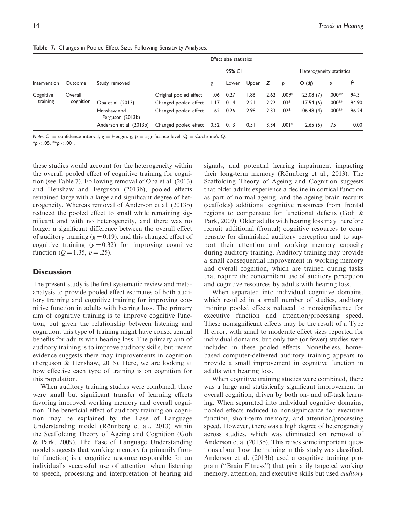Table 7. Changes in Pooled Effect Sizes Following Sensitivity Analyses.

|              |           |                                 |                        |      | Effect size statistics |           |      |         |                          |          |       |
|--------------|-----------|---------------------------------|------------------------|------|------------------------|-----------|------|---------|--------------------------|----------|-------|
|              |           |                                 |                        |      | 95% CI                 |           |      |         | Heterogeneity statistics |          |       |
| Intervention | Outcome   | Study removed                   |                        | g    | Lower                  | Upper $Z$ |      | Þ       | $Q$ (df)                 | Þ        | j2    |
| Cognitive    | Overall   |                                 | Original pooled effect | 1.06 | 0.27                   | 86.ا      | 2.62 | $.009*$ | 123.08(7)                | $.000**$ | 94.31 |
| training     | cognition | Oba et al. (2013)               | Changed pooled effect  | 1.17 | 0.14                   | 2.21      | 2.22 | $.03*$  | 117.54(6)                | $.000**$ | 94.90 |
|              |           | Henshaw and<br>Ferguson (2013b) | Changed pooled effect  | 1.62 | 0.26                   | 2.98      | 2.33 | $.02*$  | 106.48(4)                | $.000**$ | 96.24 |
|              |           | Anderson et al. (2013b)         | Changed pooled effect  | 0.32 | 0.13                   | 0.51      | 3.34 | $.001*$ | 2.65(5)                  | .75      | 0.00  |

Note. CI = confidence interval;  $g =$  Hedge's g;  $p =$  significance level; Q = Cochrane's Q.  $*_{\text{D}} < .05.$  \*\*p  $< .001.$ 

these studies would account for the heterogeneity within the overall pooled effect of cognitive training for cognition (see Table 7). Following removal of Oba et al. (2013) and Henshaw and Ferguson (2013b), pooled effects remained large with a large and significant degree of heterogeneity. Whereas removal of Anderson et al. (2013b) reduced the pooled effect to small while remaining significant and with no heterogeneity, and there was no longer a significant difference between the overall effect of auditory training  $(g = 0.19)$ , and this changed effect of cognitive training  $(g=0.32)$  for improving cognitive function ( $Q = 1.35$ ,  $p = .25$ ).

# **Discussion**

The present study is the first systematic review and metaanalysis to provide pooled effect estimates of both auditory training and cognitive training for improving cognitive function in adults with hearing loss. The primary aim of cognitive training is to improve cognitive function, but given the relationship between listening and cognition, this type of training might have consequential benefits for adults with hearing loss. The primary aim of auditory training is to improve auditory skills, but recent evidence suggests there may improvements in cognition (Ferguson & Henshaw, 2015). Here, we are looking at how effective each type of training is on cognition for this population.

When auditory training studies were combined, there were small but significant transfer of learning effects favoring improved working memory and overall cognition. The beneficial effect of auditory training on cognition may be explained by the Ease of Language Understanding model (Rönnberg et al., 2013) within the Scaffolding Theory of Ageing and Cognition (Goh & Park, 2009). The Ease of Language Understanding model suggests that working memory (a primarily frontal function) is a cognitive resource responsible for an individual's successful use of attention when listening to speech, processing and interpretation of hearing aid signals, and potential hearing impairment impacting their long-term memory (Rönnberg et al., 2013). The Scaffolding Theory of Ageing and Cognition suggests that older adults experience a decline in cortical function as part of normal ageing, and the ageing brain recruits (scaffolds) additional cognitive resources from frontal regions to compensate for functional deficits (Goh & Park, 2009). Older adults with hearing loss may therefore recruit additional (frontal) cognitive resources to compensate for diminished auditory perception and to support their attention and working memory capacity during auditory training. Auditory training may provide a small consequential improvement in working memory and overall cognition, which are trained during tasks that require the concomitant use of auditory perception and cognitive resources by adults with hearing loss.

When separated into individual cognitive domains, which resulted in a small number of studies, auditory training pooled effects reduced to nonsignificance for executive function and attention/processing speed. These nonsignificant effects may be the result of a Type II error, with small to moderate effect sizes reported for individual domains, but only two (or fewer) studies were included in these pooled effects. Nonetheless, homebased computer-delivered auditory training appears to provide a small improvement in cognitive function in adults with hearing loss.

When cognitive training studies were combined, there was a large and statistically significant improvement in overall cognition, driven by both on- and off-task learning. When separated into individual cognitive domains, pooled effects reduced to nonsignificance for executive function, short-term memory, and attention/processing speed. However, there was a high degree of heterogeneity across studies, which was eliminated on removal of Anderson et al (2013b). This raises some important questions about how the training in this study was classified. Anderson et al. (2013b) used a cognitive training program (''Brain Fitness'') that primarily targeted working memory, attention, and executive skills but used *auditory*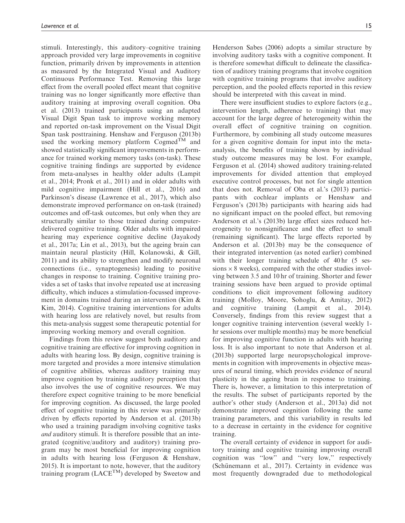stimuli. Interestingly, this auditory–cognitive training approach provided very large improvements in cognitive function, primarily driven by improvements in attention as measured by the Integrated Visual and Auditory Continuous Performance Test. Removing this large effect from the overall pooled effect meant that cognitive training was no longer significantly more effective than auditory training at improving overall cognition. Oba et al. (2013) trained participants using an adapted Visual Digit Span task to improve working memory and reported on-task improvement on the Visual Digit Span task posttraining. Henshaw and Ferguson (2013b) used the working memory platform  $\text{Cogmed}^{\text{TM}}$  and showed statistically significant improvements in performance for trained working memory tasks (on-task). These cognitive training findings are supported by evidence from meta-analyses in healthy older adults (Lampit et al., 2014; Pronk et al., 2011) and in older adults with mild cognitive impairment (Hill et al., 2016) and Parkinson's disease (Lawrence et al., 2017), which also demonstrate improved performance on on-task (trained) outcomes and off-task outcomes, but only when they are structurally similar to those trained during computerdelivered cognitive training. Older adults with impaired hearing may experience cognitive decline (Jayakody et al., 2017a; Lin et al., 2013), but the ageing brain can maintain neural plasticity (Hill, Kolanowski, & Gill, 2011) and its ability to strengthen and modify neuronal connections (i.e., synaptogenesis) leading to positive changes in response to training. Cognitive training provides a set of tasks that involve repeated use at increasing difficulty, which induces a stimulation-focussed improvement in domains trained during an intervention (Kim & Kim, 2014). Cognitive training interventions for adults with hearing loss are relatively novel, but results from this meta-analysis suggest some therapeutic potential for improving working memory and overall cognition.

Findings from this review suggest both auditory and cognitive training are effective for improving cognition in adults with hearing loss. By design, cognitive training is more targeted and provides a more intensive stimulation of cognitive abilities, whereas auditory training may improve cognition by training auditory perception that also involves the use of cognitive resources. We may therefore expect cognitive training to be more beneficial for improving cognition. As discussed, the large pooled effect of cognitive training in this review was primarily driven by effects reported by Anderson et al. (2013b) who used a training paradigm involving cognitive tasks and auditory stimuli. It is therefore possible that an integrated (cognitive/auditory and auditory) training program may be most beneficial for improving cognition in adults with hearing loss (Ferguson & Henshaw, 2015). It is important to note, however, that the auditory training program  $(LACE^{TM})$  developed by Sweetow and

Henderson Sabes (2006) adopts a similar structure by involving auditory tasks with a cognitive component. It is therefore somewhat difficult to delineate the classification of auditory training programs that involve cognition with cognitive training programs that involve auditory perception, and the pooled effects reported in this review should be interpreted with this caveat in mind.

There were insufficient studies to explore factors (e.g., intervention length, adherence to training) that may account for the large degree of heterogeneity within the overall effect of cognitive training on cognition. Furthermore, by combining all study outcome measures for a given cognitive domain for input into the metaanalysis, the benefits of training shown by individual study outcome measures may be lost. For example, Ferguson et al. (2014) showed auditory training-related improvements for divided attention that employed executive control processes, but not for single attention that does not. Removal of Oba et al.'s (2013) participants with cochlear implants or Henshaw and Ferguson's (2013b) participants with hearing aids had no significant impact on the pooled effect, but removing Anderson et al.'s (2013b) large effect sizes reduced heterogeneity to nonsignificance and the effect to small (remaining significant). The large effects reported by Anderson et al. (2013b) may be the consequence of their integrated intervention (as noted earlier) combined with their longer training schedule of 40 hr (5 sessions  $\times$  8 weeks), compared with the other studies involving between 3.5 and 10 hr of training. Shorter and fewer training sessions have been argued to provide optimal conditions to elicit improvement following auditory training (Molloy, Moore, Sohoglu, & Amitay, 2012) and cognitive training (Lampit et al., 2014). Conversely, findings from this review suggest that a longer cognitive training intervention (several weekly 1 hr sessions over multiple months) may be more beneficial for improving cognitive function in adults with hearing loss. It is also important to note that Anderson et al. (2013b) supported large neuropsychological improvements in cognition with improvements in objective measures of neural timing, which provides evidence of neural plasticity in the ageing brain in response to training. There is, however, a limitation to this interpretation of the results. The subset of participants reported by the author's other study (Anderson et al., 2013a) did not demonstrate improved cognition following the same training parameters, and this variability in results led to a decrease in certainty in the evidence for cognitive training.

The overall certainty of evidence in support for auditory training and cognitive training improving overall cognition was ''low'' and ''very low,'' respectively (Schünemann et al., 2017). Certainty in evidence was most frequently downgraded due to methodological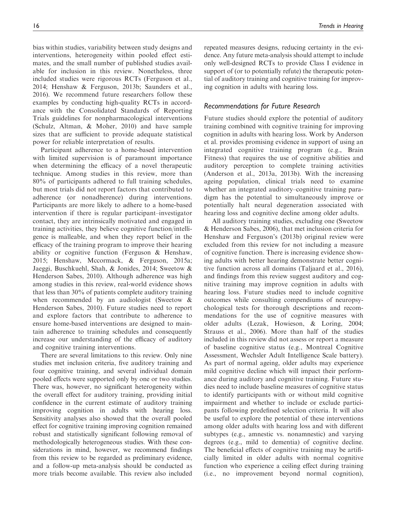bias within studies, variability between study designs and interventions, heterogeneity within pooled effect estimates, and the small number of published studies available for inclusion in this review. Nonetheless, three included studies were rigorous RCTs (Ferguson et al., 2014; Henshaw & Ferguson, 2013b; Saunders et al., 2016). We recommend future researchers follow these examples by conducting high-quality RCTs in accordance with the Consolidated Standards of Reporting Trials guidelines for nonpharmacological interventions (Schulz, Altman, & Moher, 2010) and have sample sizes that are sufficient to provide adequate statistical power for reliable interpretation of results.

Participant adherence to a home-based intervention with limited supervision is of paramount importance when determining the efficacy of a novel therapeutic technique. Among studies in this review, more than 80% of participants adhered to full training schedules, but most trials did not report factors that contributed to adherence (or nonadherence) during interventions. Participants are more likely to adhere to a home-based intervention if there is regular participant–investigator contact, they are intrinsically motivated and engaged in training activities, they believe cognitive function/intelligence is malleable, and when they report belief in the efficacy of the training program to improve their hearing ability or cognitive function (Ferguson & Henshaw, 2015; Henshaw, Mccormack, & Ferguson, 2015a; Jaeggi, Buschkuehl, Shah, & Jonides, 2014; Sweetow & Henderson Sabes, 2010). Although adherence was high among studies in this review, real-world evidence shows that less than 30% of patients complete auditory training when recommended by an audiologist (Sweetow & Henderson Sabes, 2010). Future studies need to report and explore factors that contribute to adherence to ensure home-based interventions are designed to maintain adherence to training schedules and consequently increase our understanding of the efficacy of auditory and cognitive training interventions.

There are several limitations to this review. Only nine studies met inclusion criteria, five auditory training and four cognitive training, and several individual domain pooled effects were supported only by one or two studies. There was, however, no significant heterogeneity within the overall effect for auditory training, providing initial confidence in the current estimate of auditory training improving cognition in adults with hearing loss. Sensitivity analyses also showed that the overall pooled effect for cognitive training improving cognition remained robust and statistically significant following removal of methodologically heterogeneous studies. With these considerations in mind, however, we recommend findings from this review to be regarded as preliminary evidence, and a follow-up meta-analysis should be conducted as more trials become available. This review also included repeated measures designs, reducing certainty in the evidence. Any future meta-analysis should attempt to include only well-designed RCTs to provide Class I evidence in support of (or to potentially refute) the therapeutic potential of auditory training and cognitive training for improving cognition in adults with hearing loss.

# Recommendations for Future Research

Future studies should explore the potential of auditory training combined with cognitive training for improving cognition in adults with hearing loss. Work by Anderson et al. provides promising evidence in support of using an integrated cognitive training program (e.g., Brain Fitness) that requires the use of cognitive abilities and auditory perception to complete training activities (Anderson et al., 2013a, 2013b). With the increasing ageing population, clinical trials need to examine whether an integrated auditory–cognitive training paradigm has the potential to simultaneously improve or potentially halt neural degeneration associated with hearing loss and cognitive decline among older adults.

All auditory training studies, excluding one (Sweetow & Henderson Sabes, 2006), that met inclusion criteria for Henshaw and Ferguson's (2013b) original review were excluded from this review for not including a measure of cognitive function. There is increasing evidence showing adults with better hearing demonstrate better cognitive function across all domains (Taljaard et al., 2016), and findings from this review suggest auditory and cognitive training may improve cognition in adults with hearing loss. Future studies need to include cognitive outcomes while consulting compendiums of neuropsychological tests for thorough descriptions and recommendations for the use of cognitive measures with older adults (Lezak, Howieson, & Loring, 2004; Strauss et al., 2006). More than half of the studies included in this review did not assess or report a measure of baseline cognitive status (e.g., Montreal Cognitive Assessment, Wechsler Adult Intelligence Scale battery). As part of normal ageing, older adults may experience mild cognitive decline which will impact their performance during auditory and cognitive training. Future studies need to include baseline measures of cognitive status to identify participants with or without mild cognitive impairment and whether to include or exclude participants following predefined selection criteria. It will also be useful to explore the potential of these interventions among older adults with hearing loss and with different subtypes (e.g., amnestic vs. nonamnestic) and varying degrees (e.g., mild to dementia) of cognitive decline. The beneficial effects of cognitive training may be artificially limited in older adults with normal cognitive function who experience a ceiling effect during training (i.e., no improvement beyond normal cognition),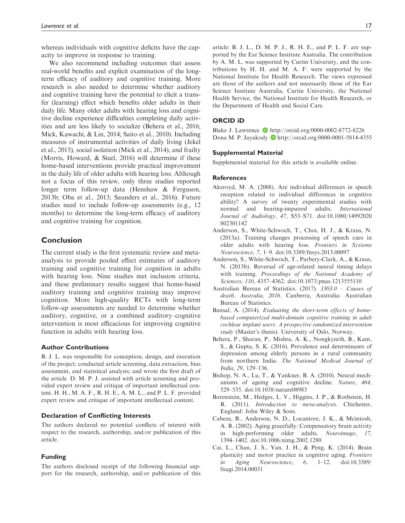whereas individuals with cognitive deficits have the capacity to improve in response to training.

We also recommend including outcomes that assess real-world benefits and explicit examination of the longterm efficacy of auditory and cognitive training. More research is also needed to determine whether auditory and cognitive training have the potential to elicit a transfer (learning) effect which benefits older adults in their daily life. Many older adults with hearing loss and cognitive decline experience difficulties completing daily activities and are less likely to socialize (Behera et al., 2016; Mick, Kawachi, & Lin, 2014; Saito et al., 2010). Including measures of instrumental activities of daily living (Jekel et al., 2015), social isolation (Mick et al., 2014), and frailty (Morris, Howard, & Steel, 2016) will determine if these home-based interventions provide practical improvement in the daily life of older adults with hearing loss. Although not a focus of this review, only three studies reported longer term follow-up data (Henshaw & Ferguson, 2013b; Oba et al., 2013; Saunders et al., 2016). Future studies need to include follow-up assessments (e.g., 12 months) to determine the long-term efficacy of auditory and cognitive training for cognition.

# Conclusion

The current study is the first systematic review and metaanalysis to provide pooled effect estimates of auditory training and cognitive training for cognition in adults with hearing loss. Nine studies met inclusion criteria, and these preliminary results suggest that home-based auditory training and cognitive training may improve cognition. More high-quality RCTs with long-term follow-up assessments are needed to determine whether auditory, cognitive, or a combined auditory–cognitive intervention is most efficacious for improving cognitive function in adults with hearing loss.

### Author Contributions

B. J. L. was responsible for conception, design, and execution of the project; conducted article screening, data extraction, bias assessment, and statistical analysis; and wrote the first draft of the article. D. M. P. J. assisted with article screening and provided expert review and critique of important intellectual content. H. H., M. A. F., R. H. E., A. M. L., and P. L. F. provided expert review and critique of important intellectual content.

# Declaration of Conflicting Interests

The authors declared no potential conflicts of interest with respect to the research, authorship, and/or publication of this article.

# Funding

The authors disclosed receipt of the following financial support for the research, authorship, and/or publication of this

article: B. J. L., D. M. P. J., R. H. E., and P. L. F. are supported by the Ear Science Institute Australia. The contribution by A. M. L. was supported by Curtin University, and the contributions by H. H. and M. A. F. were supported by the National Institute for Health Research. The views expressed are those of the authors and not necessarily those of the Ear Science Institute Australia, Curtin University, the National Health Service, the National Institute for Health Research, or the Department of Health and Social Care.

### ORCID iD

Blake J. Lawrence **b** <http://orcid.org/0000-0002-8772-8226> Dona M. P. Jayakody D<http://orcid.org/0000-0001-5814-4355>

#### Supplemental Material

Supplemental material for this article is available online.

#### **References**

- Akeroyd, M. A. (2008). Are individual differences in speech reception related to individual differences in cognitive ability? A survey of twenty experimental studies with normal and hearing-impaired adults. International Journal of Audiology, 47, S53–S71. doi:10.1080/14992020 802301142
- Anderson, S., White-Schwoch, T., Choi, H. J., & Kraus, N. (2013a). Training changes processing of speech cues in older adults with hearing loss. Frontiers in Systems Neuroscience, 7, 1–9. doi:10.3389/fnsys.2013.00097
- Anderson, S., White-Schwoch, T., Parbery-Clark, A., & Kraus, N. (2013b). Reversal of age-related neural timing delays with training. Proceedings of the National Academy of Sciences, 110, 4357–4362. doi:10.1073/pnas.1213555110
- Australian Bureau of Statistics. (2017). 3303.0 Causes of death, Australia, 2016. Canberra, Australia: Australian Bureau of Statistics.
- Bansal, A. (2014). Evaluating the short-term effects of homebased computerized multi-domain cognitive training in adult cochlear implant users: A prospective randomized intervention study (Master's thesis). University of Oslo, Norway.
- Behera, P., Sharan, P., Mishra, A. K., Nongkynrih, B., Kant, S., & Gupta, S. K. (2016). Prevalence and determinants of depression among elderly persons in a rural community from northern India. The National Medical Journal of India, 29, 129–136.
- Bishop, N. A., Lu, T., & Yankner, B. A. (2010). Neural mechanisms of ageing and cognitive decline. Nature, 464, 529–535. doi:10.1038/nature08983
- Borenstein, M., Hedges, L. V., Higgins, J. P., & Rothstein, H. R. (2011). *Introduction to meta-analysis*. Chichester, England: John Wiley & Sons.
- Cabeza, R., Anderson, N. D., Locantore, J. K., & Mcintosh, A. R. (2002). Aging gracefully: Compensatory brain activity in high-performing older adults. Neuroimage, 17, 1394–1402. doi:10.1006/nimg.2002.1280
- Cai, L., Chan, J. S., Yan, J. H., & Peng, K. (2014). Brain plasticity and motor practice in cognitive aging. Frontiers in Aging Neuroscience, 6, 1–12. doi:10.3389/ fnagi.2014.00031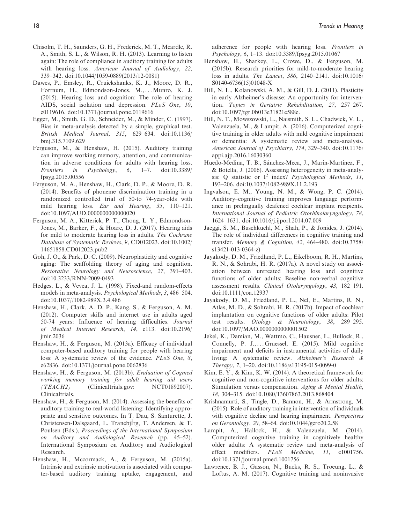- Chisolm, T. H., Saunders, G. H., Frederick, M. T., Mcardle, R. A., Smith, S. L., & Wilson, R. H. (2013). Learning to listen again: The role of compliance in auditory training for adults with hearing loss. American Journal of Audiology, 22, 339–342. doi:10.1044/1059-0889(2013/12-0081)
- Dawes, P., Emsley, R., Cruickshanks, K. J., Moore, D. R., Fortnum, H., Edmondson-Jones, M., ... Munro, K. J. (2015). Hearing loss and cognition: The role of hearing AIDS, social isolation and depression. PLoS One, 10, e0119616. doi:10.1371/journal.pone.0119616
- Egger, M., Smith, G. D., Schneider, M., & Minder, C. (1997). Bias in meta-analysis detected by a simple, graphical test. British Medical Journal, 315, 629–634. doi:10.1136/ bmj.315.7109.629
- Ferguson, M., & Henshaw, H. (2015). Auditory training can improve working memory, attention, and communication in adverse conditions for adults with hearing loss. Frontiers in Psychology, 6, 1–7. doi:10.3389/ fpsyg.2015.00556
- Ferguson, M. A., Henshaw, H., Clark, D. P., & Moore, D. R. (2014). Benefits of phoneme discrimination training in a randomized controlled trial of 50-to 74-year-olds with mild hearing loss. Ear and Hearing, 35, 110–121. doi:10.1097/AUD.0000000000000020
- Ferguson, M. A., Kitterick, P. T., Chong, L. Y., Edmondson-Jones, M., Barker, F., & Hoare, D. J. (2017). Hearing aids for mild to moderate hearing loss in adults. The Cochrane Database of Systematic Reviews, 9, CD012023. doi:10.1002/ 14651858.CD012023.pub2
- Goh, J. O., & Park, D. C. (2009). Neuroplasticity and cognitive aging: The scaffolding theory of aging and cognition. Restorative Neurology and Neuroscience, 27, 391–403. doi:10.3233/RNN-2009-0493
- Hedges, L., & Vevea, J. L. (1998). Fixed-and random-effects models in meta-analysis. Psychological Methods, 3, 486–504. doi:10.1037//1082-989X.3.4.486
- Henshaw, H., Clark, A. D. P., Kang, S., & Ferguson, A. M. (2012). Computer skills and internet use in adults aged 50-74 years: Influence of hearing difficulties. Journal of Medical Internet Research, 14, e113. doi:10.2196/ jmir.2036
- Henshaw, H., & Ferguson, M. (2013a). Efficacy of individual computer-based auditory training for people with hearing loss: A systematic review of the evidence. PLoS One, 8, e62836. doi:10.1371/journal.pone.0062836
- Henshaw, H., & Ferguson, M. (2013b). Evaluation of Cogmed working memory training for adult hearing aid users (TEACH2) (Clinicaltrials.gov: NCT01892007). Clinicaltrials.
- Henshaw, H., & Ferguson, M. (2014). Assessing the benefits of auditory training to real-world listening: Identifying appropriate and sensitive outcomes. In T. Dau, S. Santurette, J. Christensen-Dalsgaard, L. Tranebjlrg, T. Andersen, & T. Poulsen (Eds.), Proceedings of the International Symposium on Auditory and Audiological Research (pp. 45–52). International Symposium on Auditory and Audiological Research.
- Henshaw, H., Mccormack, A., & Ferguson, M. (2015a). Intrinsic and extrinsic motivation is associated with computer-based auditory training uptake, engagement, and

adherence for people with hearing loss. Frontiers in Psychology, 6, 1–13. doi:10.3389/fpsyg.2015.01067

- Henshaw, H., Sharkey, L., Crowe, D., & Ferguson, M. (2015b). Research priorities for mild-to-moderate hearing loss in adults. The Lancet, 386, 2140–2141. doi:10.1016/ S0140-6736(15)01048-X
- Hill, N. L., Kolanowski, A. M., & Gill, D. J. (2011). Plasticity in early Alzheimer's disease: An opportunity for intervention. Topics in Geriatric Rehabilitation, 27, 257–267. doi:10.1097/tgr.0b013e31821e588e.
- Hill, N. T., Mowszowski, L., Naismith, S. L., Chadwick, V. L., Valenzuela, M., & Lampit, A. (2016). Computerized cognitive training in older adults with mild cognitive impairment or dementia: A systematic review and meta-analysis. American Journal of Psychiatry, 174, 329–340. doi:10.1176/ appi.ajp.2016.16030360
- Huedo-Medina, T. B., Sánchez-Meca, J., Marín-Martínez, F., & Botella, J. (2006). Assessing heterogeneity in meta-analysis: Q statistic or  $I^2$  index? Psychological Methods, 11, 193–206. doi:10.1037/1082-989X.11.2.193
- Ingvalson, E. M., Young, N. M., & Wong, P. C. (2014). Auditory–cognitive training improves language performance in prelingually deafened cochlear implant recipients. International Journal of Pediatric Otorhinolaryngology, 78, 1624–1631. doi:10.1016/j.ijporl.2014.07.009
- Jaeggi, S. M., Buschkuehl, M., Shah, P., & Jonides, J. (2014). The role of individual differences in cognitive training and transfer. Memory & Cognition, 42, 464–480. doi:10.3758/ s13421-013-0364-z)
- Jayakody, D. M., Friedland, P. L., Eikelboom, R. H., Martins, R. N., & Sohrabi, H. R. (2017a). A novel study on association between untreated hearing loss and cognitive functions of older adults: Baseline non-verbal cognitive assessment results. Clinical Otolaryngology, 43, 182–191. doi:10.1111/coa.12937
- Jayakody, D. M., Friedland, P. L., Nel, E., Martins, R. N., Atlas, M. D., & Sohrabi, H. R. (2017b). Impact of cochlear implantation on cognitive functions of older adults: Pilot test results. Otology & Neurotology, 38, 289–295. doi:10.1097/MAO.0000000000001502
- Jekel, K., Damian, M., Wattmo, C., Hausner, L., Bullock, R., Connelly, P. J., ... Graessel, E. (2015). Mild cognitive impairment and deficits in instrumental activities of daily living: A systematic review. Alzheimer's Research & Therapy, 7, 1–20. doi:10.1186/s13195-015-0099-0
- Kim, E. Y., & Kim, K. W. (2014). A theoretical framework for cognitive and non-cognitive interventions for older adults: Stimulation versus compensation. Aging & Mental Health, 18, 304–315. doi:10.1080/13607863.2013.868404
- Krishnamurti, S., Tingle, D., Bannon, H., & Armstrong, M. (2015). Role of auditory training in intervention of individuals with cognitive decline and hearing impairment. *Perspectives* on Gerontology, 20, 58–64. doi:10.1044/gero20.2.58
- Lampit, A., Hallock, H., & Valenzuela, M. (2014). Computerized cognitive training in cognitively healthy older adults: A systematic review and meta-analysis of effect modifiers. PLoS Medicine, 11, e1001756. doi:10.1371/journal.pmed.1001756
- Lawrence, B. J., Gasson, N., Bucks, R. S., Troeung, L., & Loftus, A. M. (2017). Cognitive training and noninvasive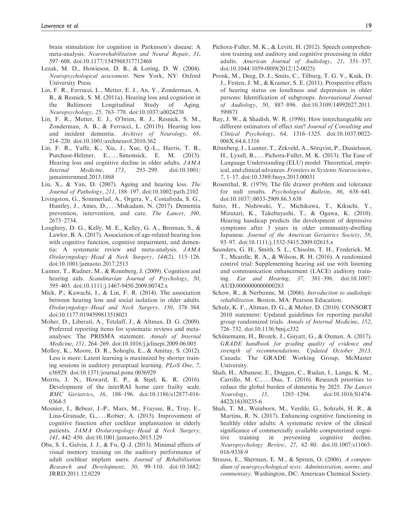brain stimulation for cognition in Parkinson's disease: A meta-analysis. Neurorehabilitation and Neural Repair, 31, 597–608. doi:10.1177/1545968317712468

- Lezak, M. D., Howieson, D. B., & Loring, D. W. (2004). Neuropsychological assessment. New York, NY: Oxford University Press.
- Lin, F. R., Ferrucci, L., Metter, E. J., An, Y., Zonderman, A. B., & Resnick, S. M. (2011a). Hearing loss and cognition in the Baltimore Longitudinal Study of Aging. Neuropsychology, 25, 763–770. doi:10.1037/a0024238
- Lin, F. R., Metter, E. J., O'brien, R. J., Resnick, S. M., Zonderman, A. B., & Ferrucci, L. (2011b). Hearing loss and incident dementia. Archives of Neurology, 68, 214–220. doi:10.1001/archneurol.2010.362
- Lin, F. R., Yaffe, K., Xia, J., Xue, Q.-L., Harris, T. B., Purchase-Helzner, E., ... Simonsick, E. M. (2013). Hearing loss and cognitive decline in older adults. JAMA Internal Medicine, 173, 293–299. doi:10.1001/ jamainternmed.2013.1868
- Liu, X., & Yan, D. (2007). Ageing and hearing loss. The Journal of Pathology, 211, 188–197. doi:10.1002/path.2102
- Livingston, G., Sommerlad, A., Orgeta, V., Costafreda, S. G., Huntley, J., Ames, D., ... Mukadam, N. (2017). Dementia prevention, intervention, and care. The Lancet, 390, 2673–2734.
- Loughrey, D. G., Kelly, M. E., Kelley, G. A., Brennan, S., & Lawlor, B. A. (2017). Association of age-related hearing loss with cognitive function, cognitive impairment, and dementia: A systematic review and meta-analysis. JAMA Otolaryngology–Head & Neck Surgery, 144(2), 115–126. doi:10.1001/jamaoto.2017.2513
- Lunner, T., Rudner, M., & Ronnberg, J. (2009). Cognition and hearing aids. Scandinavian Journal of Psychology, 50, 395–403. doi:10.1111/j.1467-9450.2009.00742.x
- Mick, P., Kawachi, I., & Lin, F. R. (2014). The association between hearing loss and social isolation in older adults. Otolaryngology–Head and Neck Surgery, 150, 378–384. doi:10.1177/0194599813518021
- Moher, D., Liberati, A., Tetzlaff, J., & Altman, D. G. (2009). Preferred reporting items for systematic reviews and metaanalyses: The PRISMA statement. Annals of Internal Medicine, 151, 264–269. doi:10.1016/j.jclinepi.2009.06.005
- Molloy, K., Moore, D. R., Sohoglu, E., & Amitay, S. (2012). Less is more: Latent learning is maximized by shorter training sessions in auditory perceptual learning. PLoS One, 7, e36929. doi:10.1371/journal.pone.0036929
- Morris, J. N., Howard, E. P., & Steel, K. R. (2016). Development of the interRAI home care frailty scale. BMC Geriatrics, 16, 188–196. doi:10.1186/s12877-016- 0364-5
- Mosnier, I., Bebear, J.-P., Marx, M., Fraysse, B., Truy, E., Lina-Granade, G., ... Robier, A. (2015). Improvement of cognitive function after cochlear implantation in elderly patients. JAMA Otolaryngology–Head & Neck Surgery, 141, 442–450. doi:10.1001/jamaoto.2015.129
- Oba, S. I., Galvin, J. J., & Fu, Q.-J. (2013). Minimal effects of visual memory training on the auditory performance of adult cochlear implant users. Journal of Rehabilitation Research and Development, 50, 99–110. doi:10.1682/ JRRD.2011.12.0229
- Pichora-Fuller, M. K., & Levitt, H. (2012). Speech comprehension training and auditory and cognitive processing in older adults. American Journal of Audiology, 21, 351–357. doi:10.1044/1059-0889(2012/12-0025)
- Pronk, M., Deeg, D. J., Smits, C., Tilburg, T. G. V., Kuik, D. J., Festen, J. M., & Kramer, S. E. (2011). Prospective effects of hearing status on loneliness and depression in older persons: Identification of subgroups. International Journal of Audiology, 50, 887–896. doi:10.3109/14992027.2011. 599871
- Ray, J. W., & Shadish, W. R. (1996). How interchangeable are different estimators of effect size? Journal of Consulting and Clinical Psychology, 64, 1316–1325. doi:10.1037/0022- 006X.64.6.1316
- Rönnberg, J., Lunner, T., Zekveld, A., Sörqvist, P., Danielsson, H., Lyxell, B., ... Pichora-Fuller, M. K. (2013). The Ease of Language Understanding (ELU) model: Theoretical, empirical, and clinical advances. Frontiers in Systems Neuroscience, 7, 1–17. doi:10.3389/fnsys.2013.00031
- Rosenthal, R. (1979). The file drawer problem and tolerance for null results. Psychological Bulletin, 86, 638–641. doi:10.1037//0033-2909.86.3.638
- Saito, H., Nishiwaki, Y., Michikawa, T., Kikuchi, Y., Mizutari, K., Takebayashi, T., & Ogawa, K. (2010). Hearing handicap predicts the development of depressive symptoms after 3 years in older community-dwelling Japanese. Journal of the American Geriatrics Society, 58, 93–97. doi:10.1111/j.1532-5415.2009.02615.x
- Saunders, G. H., Smith, S. L., Chisolm, T. H., Frederick, M. T., Mcardle, R. A., & Wilson, R. H. (2016). A randomized control trial: Supplementing hearing aid use with listening and communication enhancement (LACE) auditory training. Ear and Hearing, 37, 381–396. doi:10.1097/ AUD.0000000000000283
- Schow, R., & Nerbonne, M. (2006). Introduction to audiologic rehabilitation. Boston, MA: Pearson Education.
- Schulz, K. F., Altman, D. G., & Moher, D. (2010). CONSORT 2010 statement: Updated guidelines for reporting parallel group randomized trials. Annals of Internal Medicine, 152, 726–732. doi:10.1136/bmj.c332
- Schünemann, H., Brozek, J., Guyatt, G., & Oxman, A. (2017). GRADE handbook for grading quality of evidence and strength of recommendations. Updated October 2013. Canada: The GRADE Working Group, McMaster University.
- Shah, H., Albanese, E., Duggan, C., Rudan, I., Langa, K. M., Carrillo, M. C., ... Dua, T. (2016). Research priorities to reduce the global burden of dementia by 2025. The Lancet Neurology, 15, 1285–1294. doi:10.1016/S1474- 4422(16)30235-6
- Shah, T. M., Weinborn, M., Verdile, G., Sohrabi, H. R., & Martins, R. N. (2017). Enhancing cognitive functioning in healthly older adults: A systematic review of the clinical significance of commercially available computerized cognitive training in preventing cognitive decline. Neuropsychology Review, 27, 62–80. doi:10.1007/s11065- 016-9338-9
- Strauss, E., Sherman, E. M., & Spreen, O. (2006). A compendium of neuropsychological tests: Administration, norms, and commentary. Washington, DC: American Chemical Society.